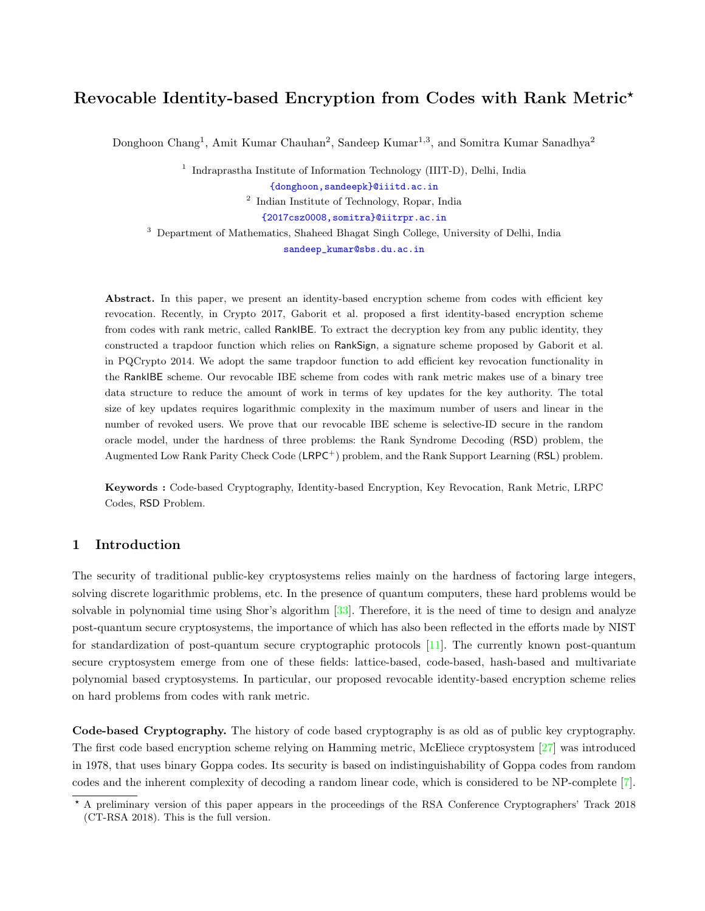# Revocable Identity-based Encryption from Codes with Rank Metric?

Donghoon Chang<sup>1</sup>, Amit Kumar Chauhan<sup>2</sup>, Sandeep Kumar<sup>1,3</sup>, and Somitra Kumar Sanadhya<sup>2</sup>

<sup>1</sup> Indraprastha Institute of Information Technology (IIIT-D), Delhi, India

[{donghoon,sandeepk}@iiitd.ac.in]({donghoon, sandeepk}@iiitd.ac.in)

2 Indian Institute of Technology, Ropar, India

[{2017csz0008,somitra}@iitrpr.ac.in]({2017csz0008, somitra}@iitrpr.ac.in)

<sup>3</sup> Department of Mathematics, Shaheed Bhagat Singh College, University of Delhi, India

[sandeep\\_kumar@sbs.du.ac.in](sandeep_kumar@sbs.du.ac.in)

Abstract. In this paper, we present an identity-based encryption scheme from codes with efficient key revocation. Recently, in Crypto 2017, Gaborit et al. proposed a first identity-based encryption scheme from codes with rank metric, called RankIBE. To extract the decryption key from any public identity, they constructed a trapdoor function which relies on RankSign, a signature scheme proposed by Gaborit et al. in PQCrypto 2014. We adopt the same trapdoor function to add efficient key revocation functionality in the RankIBE scheme. Our revocable IBE scheme from codes with rank metric makes use of a binary tree data structure to reduce the amount of work in terms of key updates for the key authority. The total size of key updates requires logarithmic complexity in the maximum number of users and linear in the number of revoked users. We prove that our revocable IBE scheme is selective-ID secure in the random oracle model, under the hardness of three problems: the Rank Syndrome Decoding (RSD) problem, the Augmented Low Rank Parity Check Code (LRPC<sup>+</sup>) problem, and the Rank Support Learning (RSL) problem.

Keywords : Code-based Cryptography, Identity-based Encryption, Key Revocation, Rank Metric, LRPC Codes, RSD Problem.

# 1 Introduction

The security of traditional public-key cryptosystems relies mainly on the hardness of factoring large integers, solving discrete logarithmic problems, etc. In the presence of quantum computers, these hard problems would be solvable in polynomial time using Shor's algorithm  $[33]$ . Therefore, it is the need of time to design and analyze post-quantum secure cryptosystems, the importance of which has also been reflected in the efforts made by NIST for standardization of post-quantum secure cryptographic protocols [\[11\]](#page-13-1). The currently known post-quantum secure cryptosystem emerge from one of these fields: lattice-based, code-based, hash-based and multivariate polynomial based cryptosystems. In particular, our proposed revocable identity-based encryption scheme relies on hard problems from codes with rank metric.

Code-based Cryptography. The history of code based cryptography is as old as of public key cryptography. The first code based encryption scheme relying on Hamming metric, McEliece cryptosystem [\[27\]](#page-13-2) was introduced in 1978, that uses binary Goppa codes. Its security is based on indistinguishability of Goppa codes from random codes and the inherent complexity of decoding a random linear code, which is considered to be NP-complete [\[7\]](#page-12-0).

<sup>?</sup> A preliminary version of this paper appears in the proceedings of the RSA Conference Cryptographers' Track 2018 (CT-RSA 2018). This is the full version.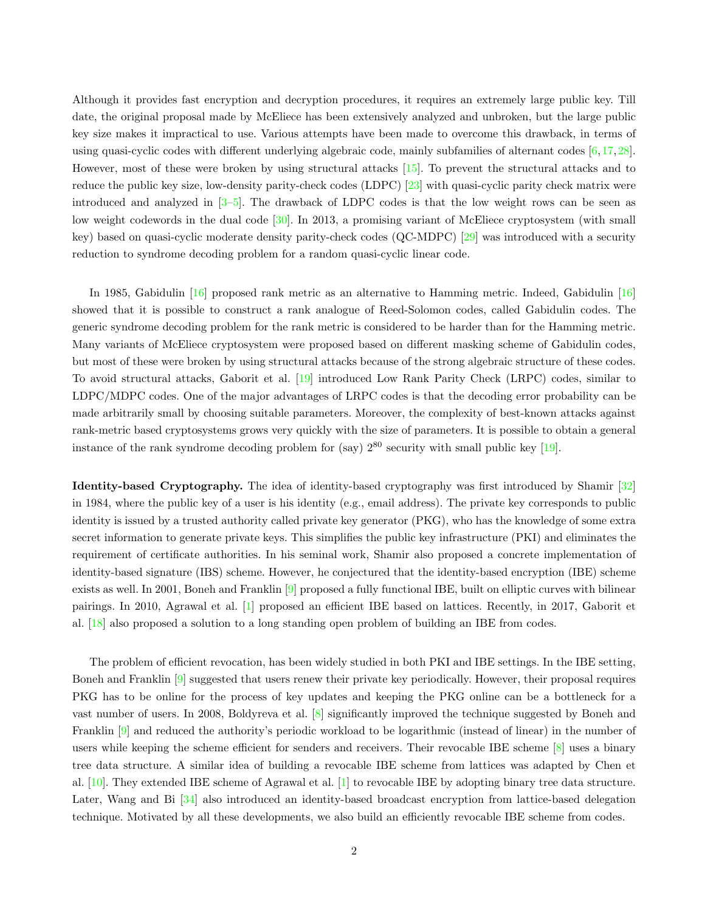Although it provides fast encryption and decryption procedures, it requires an extremely large public key. Till date, the original proposal made by McEliece has been extensively analyzed and unbroken, but the large public key size makes it impractical to use. Various attempts have been made to overcome this drawback, in terms of using quasi-cyclic codes with different underlying algebraic code, mainly subfamilies of alternant codes  $[6,17,28]$  $[6,17,28]$  $[6,17,28]$ . However, most of these were broken by using structural attacks [\[15\]](#page-13-5). To prevent the structural attacks and to reduce the public key size, low-density parity-check codes (LDPC) [\[23\]](#page-13-6) with quasi-cyclic parity check matrix were introduced and analyzed in [\[3](#page-12-2)[–5\]](#page-12-3). The drawback of LDPC codes is that the low weight rows can be seen as low weight codewords in the dual code [\[30\]](#page-13-7). In 2013, a promising variant of McEliece cryptosystem (with small key) based on quasi-cyclic moderate density parity-check codes (QC-MDPC) [\[29\]](#page-13-8) was introduced with a security reduction to syndrome decoding problem for a random quasi-cyclic linear code.

In 1985, Gabidulin [\[16\]](#page-13-9) proposed rank metric as an alternative to Hamming metric. Indeed, Gabidulin [\[16\]](#page-13-9) showed that it is possible to construct a rank analogue of Reed-Solomon codes, called Gabidulin codes. The generic syndrome decoding problem for the rank metric is considered to be harder than for the Hamming metric. Many variants of McEliece cryptosystem were proposed based on different masking scheme of Gabidulin codes, but most of these were broken by using structural attacks because of the strong algebraic structure of these codes. To avoid structural attacks, Gaborit et al. [\[19\]](#page-13-10) introduced Low Rank Parity Check (LRPC) codes, similar to LDPC/MDPC codes. One of the major advantages of LRPC codes is that the decoding error probability can be made arbitrarily small by choosing suitable parameters. Moreover, the complexity of best-known attacks against rank-metric based cryptosystems grows very quickly with the size of parameters. It is possible to obtain a general instance of the rank syndrome decoding problem for (say)  $2^{80}$  security with small public key [\[19\]](#page-13-10).

Identity-based Cryptography. The idea of identity-based cryptography was first introduced by Shamir [\[32\]](#page-13-11) in 1984, where the public key of a user is his identity (e.g., email address). The private key corresponds to public identity is issued by a trusted authority called private key generator (PKG), who has the knowledge of some extra secret information to generate private keys. This simplifies the public key infrastructure (PKI) and eliminates the requirement of certificate authorities. In his seminal work, Shamir also proposed a concrete implementation of identity-based signature (IBS) scheme. However, he conjectured that the identity-based encryption (IBE) scheme exists as well. In 2001, Boneh and Franklin [\[9\]](#page-12-4) proposed a fully functional IBE, built on elliptic curves with bilinear pairings. In 2010, Agrawal et al. [\[1\]](#page-12-5) proposed an efficient IBE based on lattices. Recently, in 2017, Gaborit et al. [\[18\]](#page-13-12) also proposed a solution to a long standing open problem of building an IBE from codes.

The problem of efficient revocation, has been widely studied in both PKI and IBE settings. In the IBE setting, Boneh and Franklin [\[9\]](#page-12-4) suggested that users renew their private key periodically. However, their proposal requires PKG has to be online for the process of key updates and keeping the PKG online can be a bottleneck for a vast number of users. In 2008, Boldyreva et al. [\[8\]](#page-12-6) significantly improved the technique suggested by Boneh and Franklin [\[9\]](#page-12-4) and reduced the authority's periodic workload to be logarithmic (instead of linear) in the number of users while keeping the scheme efficient for senders and receivers. Their revocable IBE scheme [\[8\]](#page-12-6) uses a binary tree data structure. A similar idea of building a revocable IBE scheme from lattices was adapted by Chen et al. [\[10\]](#page-12-7). They extended IBE scheme of Agrawal et al. [\[1\]](#page-12-5) to revocable IBE by adopting binary tree data structure. Later, Wang and Bi [\[34\]](#page-14-0) also introduced an identity-based broadcast encryption from lattice-based delegation technique. Motivated by all these developments, we also build an efficiently revocable IBE scheme from codes.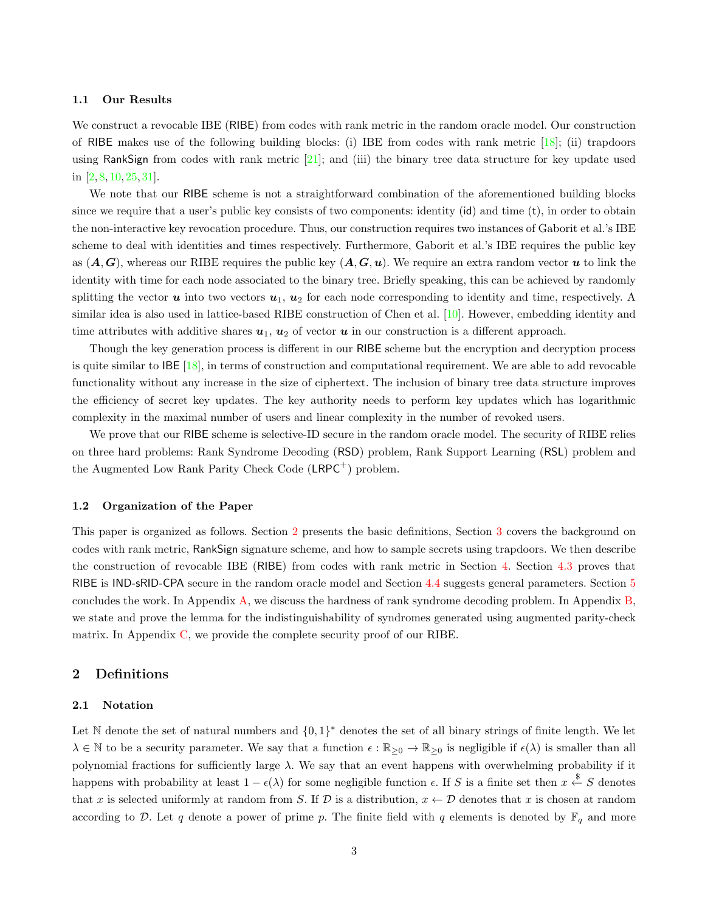### 1.1 Our Results

We construct a revocable IBE (RIBE) from codes with rank metric in the random oracle model. Our construction of RIBE makes use of the following building blocks: (i) IBE from codes with rank metric [\[18\]](#page-13-12); (ii) trapdoors using RankSign from codes with rank metric [\[21\]](#page-13-13); and (iii) the binary tree data structure for key update used in [\[2,](#page-12-8) [8,](#page-12-6) [10,](#page-12-7) [25,](#page-13-14) [31\]](#page-13-15).

We note that our RIBE scheme is not a straightforward combination of the aforementioned building blocks since we require that a user's public key consists of two components: identity (id) and time (t), in order to obtain the non-interactive key revocation procedure. Thus, our construction requires two instances of Gaborit et al.'s IBE scheme to deal with identities and times respectively. Furthermore, Gaborit et al.'s IBE requires the public key as  $(A, G)$ , whereas our RIBE requires the public key  $(A, G, u)$ . We require an extra random vector u to link the identity with time for each node associated to the binary tree. Briefly speaking, this can be achieved by randomly splitting the vector  $u$  into two vectors  $u_1, u_2$  for each node corresponding to identity and time, respectively. A similar idea is also used in lattice-based RIBE construction of Chen et al. [\[10\]](#page-12-7). However, embedding identity and time attributes with additive shares  $u_1, u_2$  of vector  $u$  in our construction is a different approach.

Though the key generation process is different in our RIBE scheme but the encryption and decryption process is quite similar to IBE [\[18\]](#page-13-12), in terms of construction and computational requirement. We are able to add revocable functionality without any increase in the size of ciphertext. The inclusion of binary tree data structure improves the efficiency of secret key updates. The key authority needs to perform key updates which has logarithmic complexity in the maximal number of users and linear complexity in the number of revoked users.

We prove that our RIBE scheme is selective-ID secure in the random oracle model. The security of RIBE relies on three hard problems: Rank Syndrome Decoding (RSD) problem, Rank Support Learning (RSL) problem and the Augmented Low Rank Parity Check Code  $(LRPC<sup>+</sup>)$  problem.

#### 1.2 Organization of the Paper

This paper is organized as follows. Section [2](#page-2-0) presents the basic definitions, Section [3](#page-4-0) covers the background on codes with rank metric, RankSign signature scheme, and how to sample secrets using trapdoors. We then describe the construction of revocable IBE (RIBE) from codes with rank metric in Section [4.](#page-8-0) Section [4.3](#page-10-0) proves that RIBE is IND-sRID-CPA secure in the random oracle model and Section [4.4](#page-11-0) suggests general parameters. Section [5](#page-12-9) concludes the work. In Appendix [A,](#page-14-1) we discuss the hardness of rank syndrome decoding problem. In Appendix [B,](#page-14-2) we state and prove the lemma for the indistinguishability of syndromes generated using augmented parity-check matrix. In Appendix [C,](#page-15-0) we provide the complete security proof of our RIBE.

### <span id="page-2-0"></span>2 Definitions

#### 2.1 Notation

Let N denote the set of natural numbers and  $\{0,1\}^*$  denotes the set of all binary strings of finite length. We let  $\lambda \in \mathbb{N}$  to be a security parameter. We say that a function  $\epsilon : \mathbb{R}_{\geq 0} \to \mathbb{R}_{\geq 0}$  is negligible if  $\epsilon(\lambda)$  is smaller than all polynomial fractions for sufficiently large  $\lambda$ . We say that an event happens with overwhelming probability if it happens with probability at least  $1 - \epsilon(\lambda)$  for some negligible function  $\epsilon$ . If S is a finite set then  $x \stackrel{\$}{\leftarrow} S$  denotes that x is selected uniformly at random from S. If  $D$  is a distribution,  $x \leftarrow D$  denotes that x is chosen at random according to D. Let q denote a power of prime p. The finite field with q elements is denoted by  $\mathbb{F}_q$  and more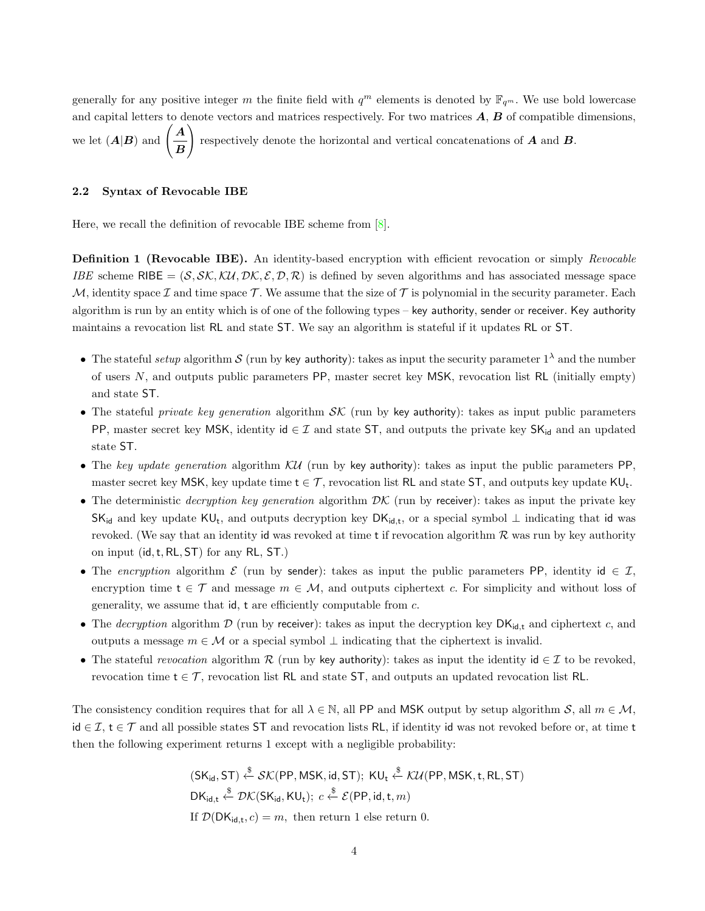generally for any positive integer m the finite field with  $q^m$  elements is denoted by  $\mathbb{F}_{q^m}$ . We use bold lowercase and capital letters to denote vectors and matrices respectively. For two matrices  $A, B$  of compatible dimensions, we let  $(A|B)$  and  $\left(\frac{A}{A}\right)$ B  $\setminus$ respectively denote the horizontal and vertical concatenations of  $A$  and  $B$ .

### 2.2 Syntax of Revocable IBE

Here, we recall the definition of revocable IBE scheme from [\[8\]](#page-12-6).

Definition 1 (Revocable IBE). An identity-based encryption with efficient revocation or simply Revocable IBE scheme RIBE =  $(S, \mathcal{SK}, \mathcal{KU}, \mathcal{DK}, \mathcal{E}, \mathcal{D}, \mathcal{R})$  is defined by seven algorithms and has associated message space M, identity space I and time space T. We assume that the size of T is polynomial in the security parameter. Each algorithm is run by an entity which is of one of the following types – key authority, sender or receiver. Key authority maintains a revocation list RL and state ST. We say an algorithm is stateful if it updates RL or ST.

- The stateful setup algorithm S (run by key authority): takes as input the security parameter  $1^{\lambda}$  and the number of users N, and outputs public parameters PP, master secret key MSK, revocation list RL (initially empty) and state ST.
- The stateful private key generation algorithm  $\mathcal{SK}$  (run by key authority): takes as input public parameters PP, master secret key MSK, identity id  $\in \mathcal{I}$  and state ST, and outputs the private key SK<sub>id</sub> and an updated state ST.
- The key update generation algorithm  $\mathcal{KU}$  (run by key authority): takes as input the public parameters PP, master secret key MSK, key update time  $t \in \mathcal{T}$ , revocation list RL and state ST, and outputs key update KU<sub>t</sub>.
- The deterministic *decryption key generation* algorithm  $\mathcal{D}\mathcal{K}$  (run by receiver): takes as input the private key  $SK_{id}$  and key update  $KU_t$ , and outputs decryption key  $DK_{id,t}$ , or a special symbol  $\perp$  indicating that id was revoked. (We say that an identity id was revoked at time  $t$  if revocation algorithm  $R$  was run by key authority on input (id,t, RL, ST) for any RL, ST.)
- The encryption algorithm  $\mathcal E$  (run by sender): takes as input the public parameters PP, identity id  $\in \mathcal I$ , encryption time  $t \in \mathcal{T}$  and message  $m \in \mathcal{M}$ , and outputs ciphertext c. For simplicity and without loss of generality, we assume that  $id$ ,  $t$  are efficiently computable from  $c$ .
- The *decryption* algorithm  $D$  (run by receiver): takes as input the decryption key  $DK_{id,t}$  and ciphertext c, and outputs a message  $m \in \mathcal{M}$  or a special symbol  $\perp$  indicating that the ciphertext is invalid.
- The stateful *revocation* algorithm R (run by key authority): takes as input the identity id  $\in \mathcal{I}$  to be revoked, revocation time  $t \in \mathcal{T}$ , revocation list RL and state ST, and outputs an updated revocation list RL.

The consistency condition requires that for all  $\lambda \in \mathbb{N}$ , all PP and MSK output by setup algorithm S, all  $m \in \mathcal{M}$ , id ∈  $\mathcal{I}, t \in \mathcal{T}$  and all possible states ST and revocation lists RL, if identity id was not revoked before or, at time t then the following experiment returns 1 except with a negligible probability:

> $(\mathsf{SK}_\mathsf{id},\mathsf{ST}) \overset{\$}{\leftarrow} \mathcal{SK}(\mathsf{PP},\mathsf{MSK},\mathsf{id},\mathsf{ST}); \; \mathsf{KU}_\mathsf{t} \overset{\$}{\leftarrow} \mathcal{KU}(\mathsf{PP},\mathsf{MSK},\mathsf{t},\mathsf{RL},\mathsf{ST})$  $\mathsf{DK}_{\mathsf{id},\mathsf{t}} \overset{\$}{\leftarrow} \mathcal{DK}(\mathsf{SK}_{\mathsf{id}},\mathsf{K}\mathsf{U}_\mathsf{t});\; c \overset{\$}{\leftarrow} \mathcal{E}(\mathsf{PP},\mathsf{id},\mathsf{t},m)$ If  $\mathcal{D}(\mathsf{DK}_{\mathsf{id},\mathsf{t}},c) = m$ , then return 1 else return 0.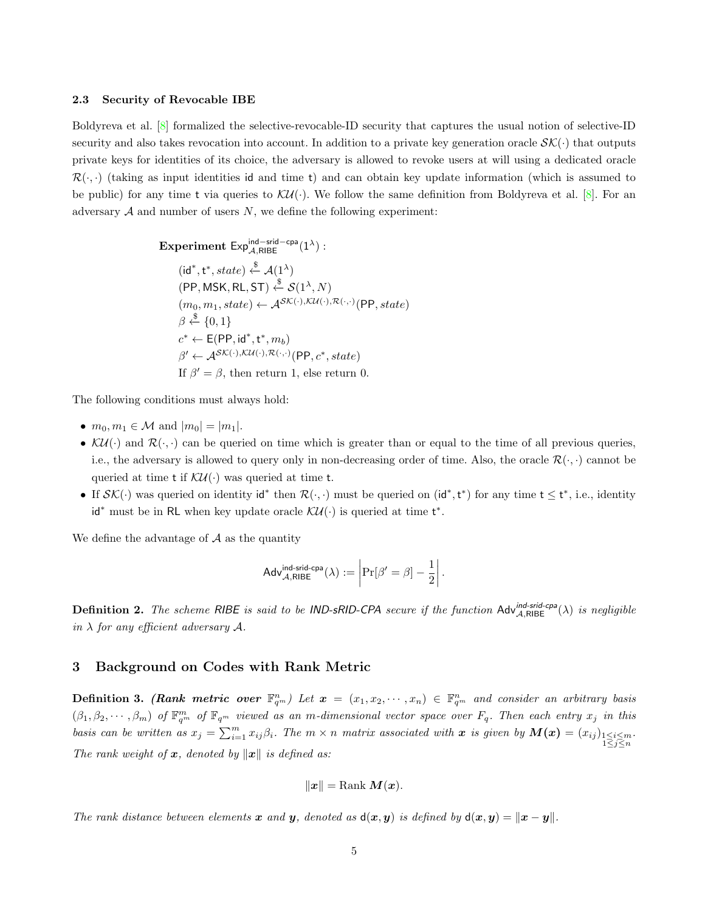#### 2.3 Security of Revocable IBE

Boldyreva et al. [\[8\]](#page-12-6) formalized the selective-revocable-ID security that captures the usual notion of selective-ID security and also takes revocation into account. In addition to a private key generation oracle  $\mathcal{SK}(\cdot)$  that outputs private keys for identities of its choice, the adversary is allowed to revoke users at will using a dedicated oracle  $\mathcal{R}(\cdot, \cdot)$  (taking as input identities id and time t) and can obtain key update information (which is assumed to be public) for any time t via queries to  $\mathcal{KU}(\cdot)$ . We follow the same definition from Boldyreva et al. [\[8\]](#page-12-6). For an adversary  $A$  and number of users  $N$ , we define the following experiment:

$$
\begin{aligned}\n\textbf{Experiment Exp}_{\mathcal{A},\text{RBE}}^{\text{ind-srid-cpa}}(1^{\lambda}): \\
(\text{id}^*, \text{t}^*, state) &\stackrel{\$}{\leftarrow} \mathcal{A}(1^{\lambda}) \\
(\text{PP}, \text{MSK}, \text{RL}, \text{ST}) &\stackrel{\$}{\leftarrow} \mathcal{S}(1^{\lambda}, N) \\
(m_0, m_1, state) &\leftarrow \mathcal{A}^{\mathcal{SK}(\cdot), \mathcal{KU}(\cdot), \mathcal{R}(\cdot, \cdot)}(\text{PP}, state) \\
\beta &\stackrel{\$}{\leftarrow} \{0, 1\} \\
c^* &\leftarrow \text{E}(\text{PP}, \text{id}^*, \text{t}^*, m_b) \\
\beta' &\leftarrow \mathcal{A}^{\mathcal{SK}(\cdot), \mathcal{KU}(\cdot), \mathcal{R}(\cdot, \cdot)}(\text{PP}, c^*, state) \\
\text{If } \beta' = \beta, \text{ then return 1, else return 0.} \n\end{aligned}
$$

The following conditions must always hold:

- $m_0, m_1 \in \mathcal{M}$  and  $|m_0| = |m_1|$ .
- $\mathcal{KU}(\cdot)$  and  $\mathcal{R}(\cdot, \cdot)$  can be queried on time which is greater than or equal to the time of all previous queries, i.e., the adversary is allowed to query only in non-decreasing order of time. Also, the oracle  $\mathcal{R}(\cdot, \cdot)$  cannot be queried at time **t** if  $\mathcal{KU}(\cdot)$  was queried at time **t**.
- If  $\mathcal{SK}(\cdot)$  was queried on identity id<sup>\*</sup> then  $\mathcal{R}(\cdot, \cdot)$  must be queried on (id<sup>\*</sup>, t<sup>\*</sup>) for any time  $t \leq t^*$ , i.e., identity id<sup>\*</sup> must be in RL when key update oracle  $\mathcal{KU}(\cdot)$  is queried at time t<sup>\*</sup>.

We define the advantage of  $A$  as the quantity

$$
\mathsf{Adv}_{\mathcal{A},\mathsf{RIBE}}^{\mathsf{ind}\text{-}\mathsf{grid}\text{-}\mathsf{cpa}}(\lambda) := \left|\Pr[\beta' = \beta] - \frac{1}{2}\right|.
$$

<span id="page-4-1"></span>**Definition 2.** The scheme RIBE is said to be IND-sRID-CPA secure if the function  $\text{Adv}_{A,\text{RISE}}^{\text{ind-cpa}}(\lambda)$  is negligible in  $\lambda$  for any efficient adversary  $\mathcal{A}$ .

# <span id="page-4-0"></span>3 Background on Codes with Rank Metric

**Definition 3.** (Rank metric over  $\mathbb{F}_{q^m}^n$ ) Let  $\boldsymbol{x} = (x_1, x_2, \dots, x_n) \in \mathbb{F}_{q^m}^n$  and consider an arbitrary basis  $(\beta_1, \beta_2, \cdots, \beta_m)$  of  $\mathbb{F}_{q^m}^m$  of  $\mathbb{F}_{q^m}$  viewed as an m-dimensional vector space over  $F_q$ . Then each entry  $x_j$  in this basis can be written as  $x_j = \sum_{i=1}^m x_{ij} \beta_i$ . The  $m \times n$  matrix associated with  $x$  is given by  $M(x) = (x_{ij})_{\substack{1 \leq i \leq m \\ 1 \leq j \leq n}}$ . The rank weight of  $x$ , denoted by  $||x||$  is defined as:

$$
||x|| = \text{Rank } M(x).
$$

The rank distance between elements x and y, denoted as  $d(x, y)$  is defined by  $d(x, y) = ||x - y||$ .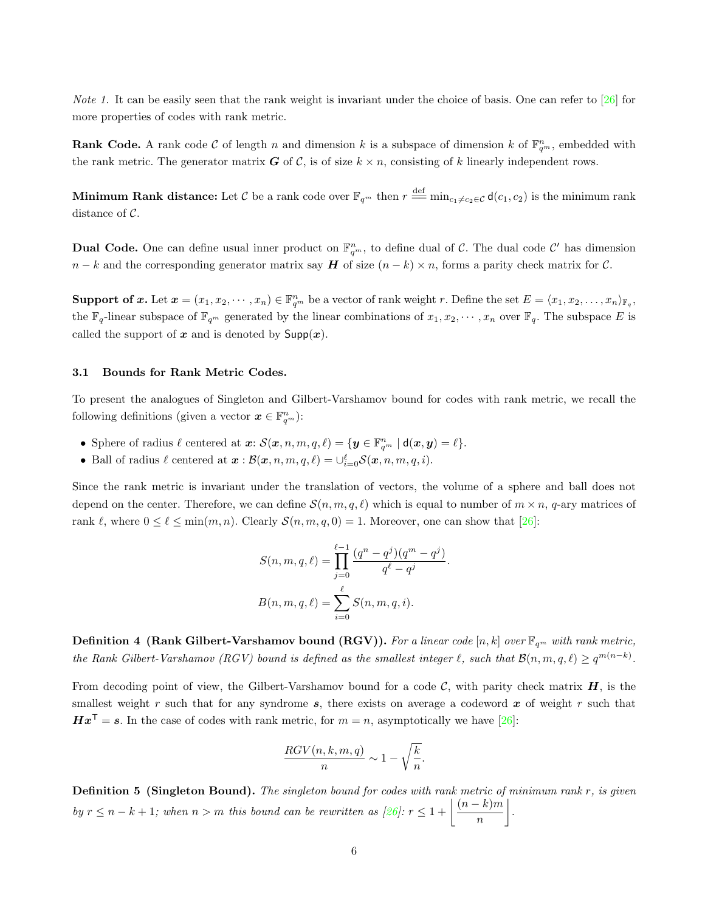*Note 1*. It can be easily seen that the rank weight is invariant under the choice of basis. One can refer to  $\frac{26}{6}$  for more properties of codes with rank metric.

**Rank Code.** A rank code C of length n and dimension k is a subspace of dimension k of  $\mathbb{F}_{q^m}^n$ , embedded with the rank metric. The generator matrix  $G$  of  $C$ , is of size  $k \times n$ , consisting of k linearly independent rows.

Minimum Rank distance: Let  $C$  be a rank code over  $\mathbb{F}_{q^m}$  then  $r \stackrel{\text{def}}{=\!\!=} \min_{c_1\neq c_2\in\mathcal{C}}\mathsf{d}(c_1,c_2)$  is the minimum rank distance of C.

**Dual Code.** One can define usual inner product on  $\mathbb{F}_{q^m}^n$ , to define dual of C. The dual code C' has dimension  $n - k$  and the corresponding generator matrix say H of size  $(n - k) \times n$ , forms a parity check matrix for C.

**Support of x.** Let  $\mathbf{x} = (x_1, x_2, \dots, x_n) \in \mathbb{F}_{q^m}^n$  be a vector of rank weight r. Define the set  $E = \langle x_1, x_2, \dots, x_n \rangle_{\mathbb{F}_q}$ , the  $\mathbb{F}_q$ -linear subspace of  $\mathbb{F}_{q^m}$  generated by the linear combinations of  $x_1, x_2, \cdots, x_n$  over  $\mathbb{F}_q$ . The subspace E is called the support of x and is denoted by  $\mathsf{Supp}(\bm{x})$ .

### 3.1 Bounds for Rank Metric Codes.

To present the analogues of Singleton and Gilbert-Varshamov bound for codes with rank metric, we recall the following definitions (given a vector  $\boldsymbol{x} \in \mathbb{F}_{q^m}^n$ ):

- Sphere of radius  $\ell$  centered at  $\boldsymbol{x}$ :  $\mathcal{S}(\boldsymbol{x}, n, m, q, \ell) = \{ \boldsymbol{y} \in \mathbb{F}_{q^m}^n \mid \mathsf{d}(\boldsymbol{x}, \boldsymbol{y}) = \ell \}.$
- Ball of radius  $\ell$  centered at  $\boldsymbol{x} : \mathcal{B}(\boldsymbol{x}, n, m, q, \ell) = \bigcup_{i=0}^{\ell} \mathcal{S}(\boldsymbol{x}, n, m, q, i)$ .

Since the rank metric is invariant under the translation of vectors, the volume of a sphere and ball does not depend on the center. Therefore, we can define  $\mathcal{S}(n, m, q, \ell)$  which is equal to number of  $m \times n$ , q-ary matrices of rank  $\ell$ , where  $0 \leq \ell \leq \min(m, n)$ . Clearly  $\mathcal{S}(n, m, q, 0) = 1$ . Moreover, one can show that [\[26\]](#page-13-16):

$$
S(n, m, q, \ell) = \prod_{j=0}^{\ell-1} \frac{(q^n - q^j)(q^m - q^j)}{q^{\ell} - q^j}.
$$

$$
B(n, m, q, \ell) = \sum_{i=0}^{\ell} S(n, m, q, i).
$$

**Definition 4 (Rank Gilbert-Varshamov bound (RGV)).** For a linear code [n, k] over  $\mathbb{F}_{q^m}$  with rank metric, the Rank Gilbert-Varshamov (RGV) bound is defined as the smallest integer  $\ell$ , such that  $\mathcal{B}(n, m, q, \ell) \ge q^{m(n-k)}$ .

From decoding point of view, the Gilbert-Varshamov bound for a code  $\mathcal{C}$ , with parity check matrix  $H$ , is the smallest weight r such that for any syndrome  $s$ , there exists on average a codeword  $x$  of weight r such that  $Hx^{T} = s$ . In the case of codes with rank metric, for  $m = n$ , asymptotically we have [\[26\]](#page-13-16):

$$
\frac{RGV(n,k,m,q)}{n} \sim 1 - \sqrt{\frac{k}{n}}.
$$

**Definition 5 (Singleton Bound).** The singleton bound for codes with rank metric of minimum rank  $r$ , is given by  $r \leq n - k + 1$ ; when  $n > m$  this bound can be rewritten as  $\lceil 26 \rceil$ :  $r \leq 1 + \left\lfloor \frac{(n-k)m}{n} \right\rfloor$ n .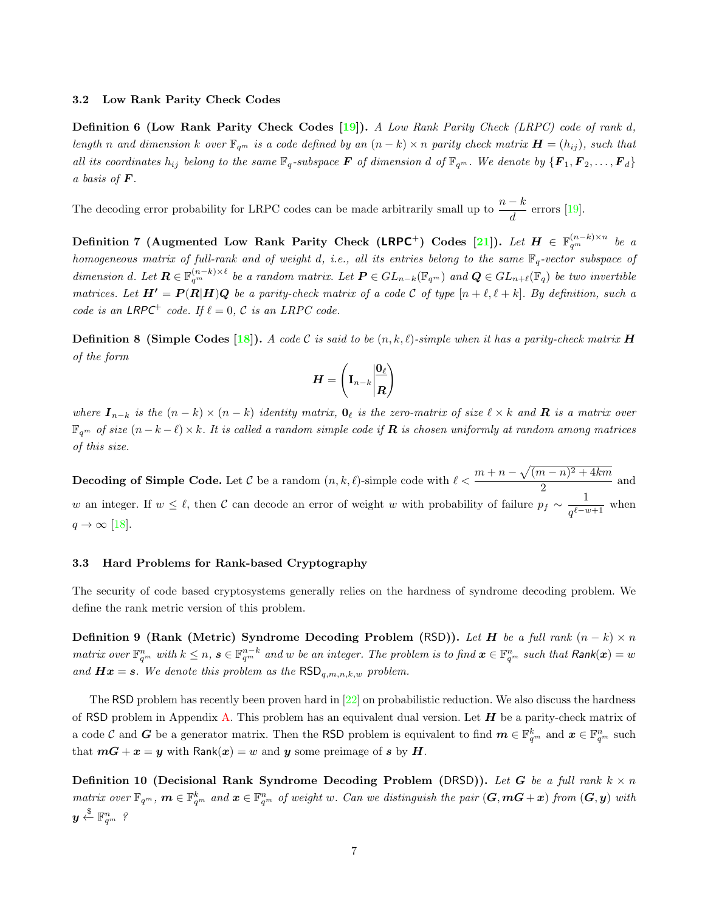#### 3.2 Low Rank Parity Check Codes

Definition 6 (Low Rank Parity Check Codes [\[19\]](#page-13-10)). A Low Rank Parity Check (LRPC) code of rank d, length n and dimension k over  $\mathbb{F}_{q^m}$  is a code defined by an  $(n-k) \times n$  parity check matrix  $\mathbf{H} = (h_{ij})$ , such that all its coordinates  $h_{ij}$  belong to the same  $\mathbb{F}_q$ -subspace  $\bm{F}$  of dimension d of  $\mathbb{F}_{q^m}$ . We denote by  $\{\bm{F}_1,\bm{F}_2,\ldots,\bm{F}_d\}$ a basis of  $\boldsymbol{F}$ .

The decoding error probability for LRPC codes can be made arbitrarily small up to  $\frac{n-k}{d}$  errors [\[19\]](#page-13-10).

Definition 7 (Augmented Low Rank Parity Check (LRPC<sup>+</sup>) Codes [\[21\]](#page-13-13)). Let  $H \in \mathbb{F}_{q^m}^{(n-k)\times n}$  be a homogeneous matrix of full-rank and of weight d, i.e., all its entries belong to the same  $\mathbb{F}_q$ -vector subspace of dimension d. Let  $\mathbf{R} \in \mathbb{F}_{q^m}^{(n-k)\times \ell}$  be a random matrix. Let  $\mathbf{P} \in GL_{n-k}(\mathbb{F}_{q^m})$  and  $\mathbf{Q} \in GL_{n+\ell}(\mathbb{F}_q)$  be two invertible matrices. Let  $H' = P(R|H)Q$  be a parity-check matrix of a code C of type  $[n + \ell, \ell + k]$ . By definition, such a code is an LRPC<sup>+</sup> code. If  $\ell = 0$ , C is an LRPC code.

**Definition 8 (Simple Codes [\[18\]](#page-13-12)).** A code C is said to be  $(n, k, \ell)$ -simple when it has a parity-check matrix **H** of the form

$$
\boldsymbol{H}=\left(\mathbf{I}_{n-k}\bigg|\!\frac{\boldsymbol{0}_{\ell}}{R}\!\right)
$$

where  $I_{n-k}$  is the  $(n-k) \times (n-k)$  identity matrix,  $\mathbf{0}_{\ell}$  is the zero-matrix of size  $\ell \times k$  and  $\mathbf{R}$  is a matrix over  $\mathbb{F}_{q^m}$  of size  $(n-k-\ell)\times k$ . It is called a random simple code if **R** is chosen uniformly at random among matrices of this size.

**Decoding of Simple Code.** Let C be a random  $(n, k, \ell)$ -simple code with  $\ell < \frac{m + n - \sqrt{(m - n)^2 + 4km}}{2}$  $\frac{1}{2}$  and w an integer. If  $w \leq \ell$ , then C can decode an error of weight w with probability of failure  $p_f \sim \frac{1}{e^{\ell-n}}$  $\frac{1}{q^{\ell-w+1}}$  when  $q \rightarrow \infty$  [\[18\]](#page-13-12).

### 3.3 Hard Problems for Rank-based Cryptography

The security of code based cryptosystems generally relies on the hardness of syndrome decoding problem. We define the rank metric version of this problem.

Definition 9 (Rank (Metric) Syndrome Decoding Problem (RSD)). Let H be a full rank  $(n - k) \times n$ matrix over  $\mathbb{F}_{q^m}^n$  with  $k \leq n$ ,  $s \in \mathbb{F}_{q^m}^{n-k}$  and w be an integer. The problem is to find  $\boldsymbol{x} \in \mathbb{F}_{q^m}^n$  such that  $\mathsf{Rank}(\boldsymbol{x}) = w$ and  $Hx = s$ . We denote this problem as the  $\mathsf{RSD}_{q,m,n,k,w}$  problem.

The RSD problem has recently been proven hard in [\[22\]](#page-13-17) on probabilistic reduction. We also discuss the hardness of RSD problem in Appendix [A.](#page-14-1) This problem has an equivalent dual version. Let  $H$  be a parity-check matrix of a code C and G be a generator matrix. Then the RSD problem is equivalent to find  $\boldsymbol{m} \in \mathbb{F}_{q^m}^k$  and  $\boldsymbol{x} \in \mathbb{F}_{q^m}^n$  such that  $mG + x = y$  with Rank $(x) = w$  and y some preimage of s by H.

Definition 10 (Decisional Rank Syndrome Decoding Problem (DRSD)). Let G be a full rank  $k \times n$ matrix over  $\mathbb{F}_{q^m}$ ,  $m \in \mathbb{F}_{q^m}^k$  and  $x \in \mathbb{F}_{q^m}^n$  of weight w. Can we distinguish the pair  $(G, mG + x)$  from  $(G, y)$  with  $\boldsymbol{y} \overset{\$}{\leftarrow} \mathbb{F}_{q^m}^n$  ?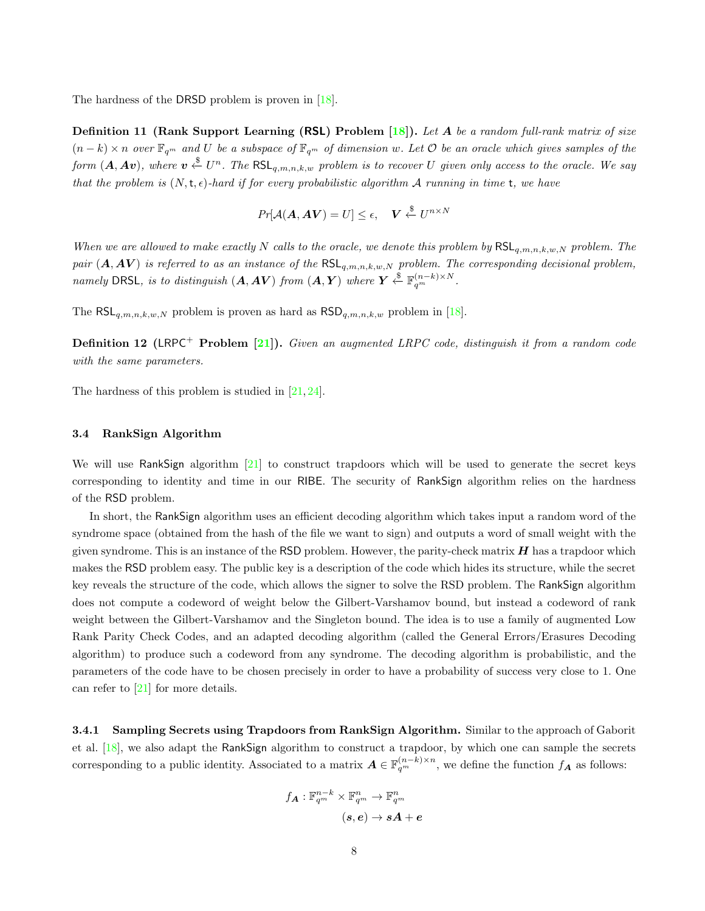The hardness of the DRSD problem is proven in [\[18\]](#page-13-12).

**Definition 11 (Rank Support Learning (RSL) Problem [\[18\]](#page-13-12)).** Let A be a random full-rank matrix of size  $(n-k) \times n$  over  $\mathbb{F}_{q^m}$  and U be a subspace of  $\mathbb{F}_{q^m}$  of dimension w. Let O be an oracle which gives samples of the form  $(A,Av)$ , where  $v \stackrel{\$}{\leftarrow} U^n$ . The  $\mathsf{RSL}_{q,m,n,k,w}$  problem is to recover U given only access to the oracle. We say that the problem is  $(N, t, \epsilon)$ -hard if for every probabilistic algorithm A running in time t, we have

$$
Pr[\mathcal{A}(\boldsymbol{A}, \boldsymbol{A}\boldsymbol{V}) = U] \le \epsilon, \quad \boldsymbol{V} \stackrel{\$}{\leftarrow} U^{n \times N}
$$

When we are allowed to make exactly N calls to the oracle, we denote this problem by  $\mathsf{RSL}_{q,m,n,k,w,N}$  problem. The pair  $(A, A V)$  is referred to as an instance of the RSL<sub>q,m,n,k,w,N</sub> problem. The corresponding decisional problem, namely DRSL, is to distinguish  $(A, A V)$  from  $(A, Y)$  where  $Y \stackrel{\$}{\leftarrow} \mathbb{F}_{q^m}^{(n-k) \times N}$ .

The RSL<sub>q,m,n,k,w,N</sub> problem is proven as hard as  $\text{RSD}_{q,m,n,k,w}$  problem in [\[18\]](#page-13-12).

**Definition 12 (LRPC<sup>+</sup> Problem [\[21\]](#page-13-13)).** Given an augmented LRPC code, distinguish it from a random code with the same parameters.

The hardness of this problem is studied in [\[21,](#page-13-13) [24\]](#page-13-18).

#### 3.4 RankSign Algorithm

We will use RankSign algorithm [\[21\]](#page-13-13) to construct trapdoors which will be used to generate the secret keys corresponding to identity and time in our RIBE. The security of RankSign algorithm relies on the hardness of the RSD problem.

In short, the RankSign algorithm uses an efficient decoding algorithm which takes input a random word of the syndrome space (obtained from the hash of the file we want to sign) and outputs a word of small weight with the given syndrome. This is an instance of the RSD problem. However, the parity-check matrix  $H$  has a trapdoor which makes the RSD problem easy. The public key is a description of the code which hides its structure, while the secret key reveals the structure of the code, which allows the signer to solve the RSD problem. The RankSign algorithm does not compute a codeword of weight below the Gilbert-Varshamov bound, but instead a codeword of rank weight between the Gilbert-Varshamov and the Singleton bound. The idea is to use a family of augmented Low Rank Parity Check Codes, and an adapted decoding algorithm (called the General Errors/Erasures Decoding algorithm) to produce such a codeword from any syndrome. The decoding algorithm is probabilistic, and the parameters of the code have to be chosen precisely in order to have a probability of success very close to 1. One can refer to [\[21\]](#page-13-13) for more details.

3.4.1 Sampling Secrets using Trapdoors from RankSign Algorithm. Similar to the approach of Gaborit et al. [\[18\]](#page-13-12), we also adapt the RankSign algorithm to construct a trapdoor, by which one can sample the secrets corresponding to a public identity. Associated to a matrix  $A \in \mathbb{F}_{q^m}^{(n-k)\times n}$ , we define the function  $f_A$  as follows:

$$
f_{\bm{A}}:\mathbb{F}_{q^m}^{n-k}\times\mathbb{F}_{q^m}^{n}\rightarrow\mathbb{F}_{q^m}^{n}\\[1mm] (s,e)\rightarrow s\bm{A}+\bm{e}
$$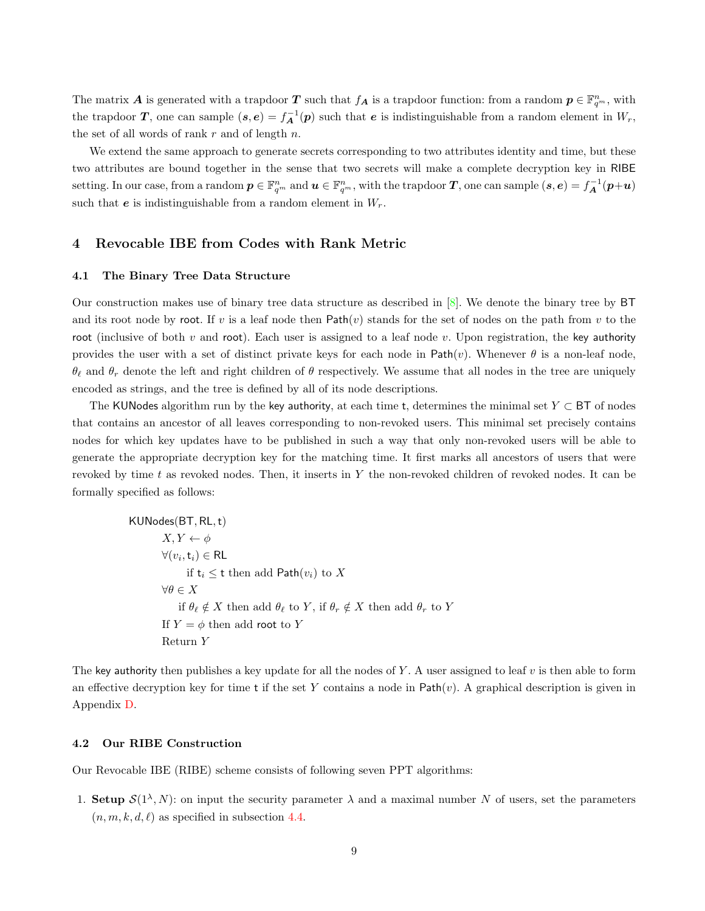The matrix **A** is generated with a trapdoor **T** such that  $f_A$  is a trapdoor function: from a random  $p \in \mathbb{F}_{q^m}^n$ , with the trapdoor T, one can sample  $(s, e) = f_A^{-1}(p)$  such that e is indistinguishable from a random element in  $W_r$ , the set of all words of rank  $r$  and of length  $n$ .

We extend the same approach to generate secrets corresponding to two attributes identity and time, but these two attributes are bound together in the sense that two secrets will make a complete decryption key in RIBE setting. In our case, from a random  $p \in \mathbb{F}_{q^m}^n$  and  $u \in \mathbb{F}_{q^m}^n$ , with the trapdoor  $T$ , one can sample  $(s, e) = f_A^{-1}(p+u)$ such that  $e$  is indistinguishable from a random element in  $W_r$ .

# <span id="page-8-0"></span>4 Revocable IBE from Codes with Rank Metric

#### 4.1 The Binary Tree Data Structure

Our construction makes use of binary tree data structure as described in [\[8\]](#page-12-6). We denote the binary tree by BT and its root node by root. If v is a leaf node then  $Path(v)$  stands for the set of nodes on the path from v to the root (inclusive of both v and root). Each user is assigned to a leaf node v. Upon registration, the key authority provides the user with a set of distinct private keys for each node in  $Path(v)$ . Whenever  $\theta$  is a non-leaf node,  $\theta_\ell$  and  $\theta_r$  denote the left and right children of  $\theta$  respectively. We assume that all nodes in the tree are uniquely encoded as strings, and the tree is defined by all of its node descriptions.

The KUNodes algorithm run by the key authority, at each time t, determines the minimal set  $Y \subset BT$  of nodes that contains an ancestor of all leaves corresponding to non-revoked users. This minimal set precisely contains nodes for which key updates have to be published in such a way that only non-revoked users will be able to generate the appropriate decryption key for the matching time. It first marks all ancestors of users that were revoked by time t as revoked nodes. Then, it inserts in Y the non-revoked children of revoked nodes. It can be formally specified as follows:

> KUNodes(BT, RL,t)  $X, Y \leftarrow \phi$  $\forall (v_i, \mathsf{t}_i) \in \mathsf{RL}$ if  $t_i \leq t$  then add Path $(v_i)$  to X  $\forall \theta \in X$ if  $\theta_\ell \notin X$  then add  $\theta_\ell$  to Y, if  $\theta_r \notin X$  then add  $\theta_r$  to Y If  $Y = \phi$  then add root to Y Return Y

The key authority then publishes a key update for all the nodes of Y. A user assigned to leaf  $v$  is then able to form an effective decryption key for time t if the set Y contains a node in  $Path(v)$ . A graphical description is given in Appendix [D.](#page-18-0)

#### 4.2 Our RIBE Construction

Our Revocable IBE (RIBE) scheme consists of following seven PPT algorithms:

1. Setup  $S(1^{\lambda}, N)$ : on input the security parameter  $\lambda$  and a maximal number N of users, set the parameters  $(n, m, k, d, \ell)$  as specified in subsection [4.4.](#page-11-0)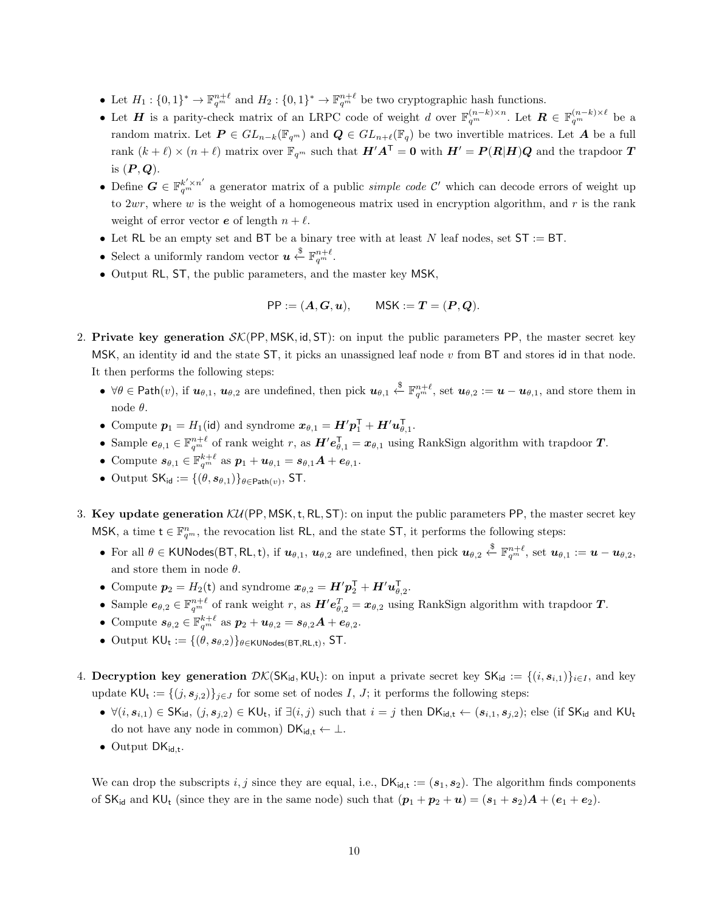- Let  $H_1: \{0,1\}^* \to \mathbb{F}_{q^m}^{n+\ell}$  and  $H_2: \{0,1\}^* \to \mathbb{F}_{q^m}^{n+\ell}$  be two cryptographic hash functions.
- Let H is a parity-check matrix of an LRPC code of weight d over  $\mathbb{F}_{q^m}^{(n-k)\times n}$ . Let  $\mathbf{R} \in \mathbb{F}_{q^m}^{(n-k)\times \ell}$  be a random matrix. Let  $P \in GL_{n-k}(\mathbb{F}_{q^m})$  and  $Q \in GL_{n+\ell}(\mathbb{F}_q)$  be two invertible matrices. Let A be a full rank  $(k + \ell) \times (n + \ell)$  matrix over  $\mathbb{F}_{q^m}$  such that  $H'A^{\mathsf{T}} = 0$  with  $H' = P(R|H)Q$  and the trapdoor T is  $(P, Q)$ .
- Define  $G \in \mathbb{F}_{q^m}^{k' \times n'}$  a generator matrix of a public *simple code*  $\mathcal{C}'$  which can decode errors of weight up to  $2wr$ , where w is the weight of a homogeneous matrix used in encryption algorithm, and r is the rank weight of error vector  $\boldsymbol{e}$  of length  $n + \ell$ .
- Let RL be an empty set and BT be a binary tree with at least N leaf nodes, set  $ST := BT$ .
- Select a uniformly random vector  $u \overset{\$}{\leftarrow} \mathbb{F}_{q^m}^{n+\ell}$ .
- Output RL, ST, the public parameters, and the master key MSK,

$$
PP := (A, G, u),
$$
  $MSK := T = (P, Q).$ 

- 2. Private key generation  $\mathcal{SK}(PP, MSK, id, ST)$ : on input the public parameters PP, the master secret key MSK, an identity id and the state  $ST$ , it picks an unassigned leaf node  $v$  from BT and stores id in that node. It then performs the following steps:
	- $\forall \theta \in \mathsf{Path}(v)$ , if  $u_{\theta,1}, u_{\theta,2}$  are undefined, then pick  $u_{\theta,1} \overset{\$}{\leftarrow} \mathbb{F}_{q^m}^{n+\ell}$ , set  $u_{\theta,2} := u u_{\theta,1}$ , and store them in node  $\theta$ .
	- Compute  $p_1 = H_1(\text{id})$  and syndrome  $x_{\theta,1} = H'p_1^{\mathsf{T}} + H'u_{\theta,1}^{\mathsf{T}}$ .
	- Sample  $e_{\theta,1} \in \mathbb{F}_{q^m}^{n+\ell}$  of rank weight r, as  $H'e_{\theta,1}^{\mathsf{T}} = x_{\theta,1}$  using RankSign algorithm with trapdoor T.
	- Compute  $s_{\theta,1} \in \mathbb{F}_{q^m}^{k+\ell}$  as  $p_1 + \boldsymbol{u}_{\theta,1} = s_{\theta,1}A + \boldsymbol{e}_{\theta,1}$ .
	- Output  $SK_{\text{id}} := \{(\theta, s_{\theta,1})\}_{\theta \in \text{Path}(v)}$ , ST.
- 3. Key update generation  $\mathcal{KU}$ (PP, MSK, t, RL, ST): on input the public parameters PP, the master secret key MSK, a time  $t \in \mathbb{F}_{q^m}^n$ , the revocation list RL, and the state ST, it performs the following steps:
	- For all  $\theta \in$  KUNodes(BT, RL, t), if  $u_{\theta,1}$ ,  $u_{\theta,2}$  are undefined, then pick  $u_{\theta,2} \stackrel{\$}{\leftarrow} \mathbb{F}_{q^m}^{n+\ell}$ , set  $u_{\theta,1} := u u_{\theta,2}$ , and store them in node  $\theta$ .
	- Compute  $p_2 = H_2(t)$  and syndrome  $x_{\theta,2} = H' p_2^{\mathsf{T}} + H' u_{\theta,2}^{\mathsf{T}}$ .
	- Sample  $e_{\theta,2} \in \mathbb{F}_{q^m}^{n+\ell}$  of rank weight r, as  $H'e_{\theta,2}^T = x_{\theta,2}$  using RankSign algorithm with trapdoor T.
	- Compute  $s_{\theta,2} \in \mathbb{F}_{q^m}^{k+\ell}$  as  $p_2 + u_{\theta,2} = s_{\theta,2}A + e_{\theta,2}$ .
	- Output  $\mathsf{KU}_t := \{(\theta, s_{\theta,2})\}_{\theta \in \mathsf{KUNodes}(\mathsf{BT},\mathsf{RL},t)}, \mathsf{ST}.$
- 4. Decryption key generation  $\mathcal{DK}(SK_{id}, KU_t)$ : on input a private secret key  $SK_{id} := \{(i, s_{i,1})\}_{i \in I}$ , and key update  $\mathsf{KU}_t := \{ (j, s_{j,2}) \}_{j \in J}$  for some set of nodes I, J; it performs the following steps:
	- $\forall (i, s_{i,1}) \in SK_{id}, (j, s_{j,2}) \in KU_t$ , if  $\exists (i, j)$  such that  $i = j$  then  $DK_{id, t} \leftarrow (s_{i,1}, s_{j,2})$ ; else (if  $SK_{id}$  and  $KU_t$ do not have any node in common)  $DK_{id,t} \leftarrow \perp$ .
	- Output  $DK_{id,t}$ .

We can drop the subscripts i, j since they are equal, i.e.,  $DK_{id,t} := (s_1, s_2)$ . The algorithm finds components of  $SK_{id}$  and  $KU_t$  (since they are in the same node) such that  $(p_1 + p_2 + u) = (s_1 + s_2)A + (e_1 + e_2)$ .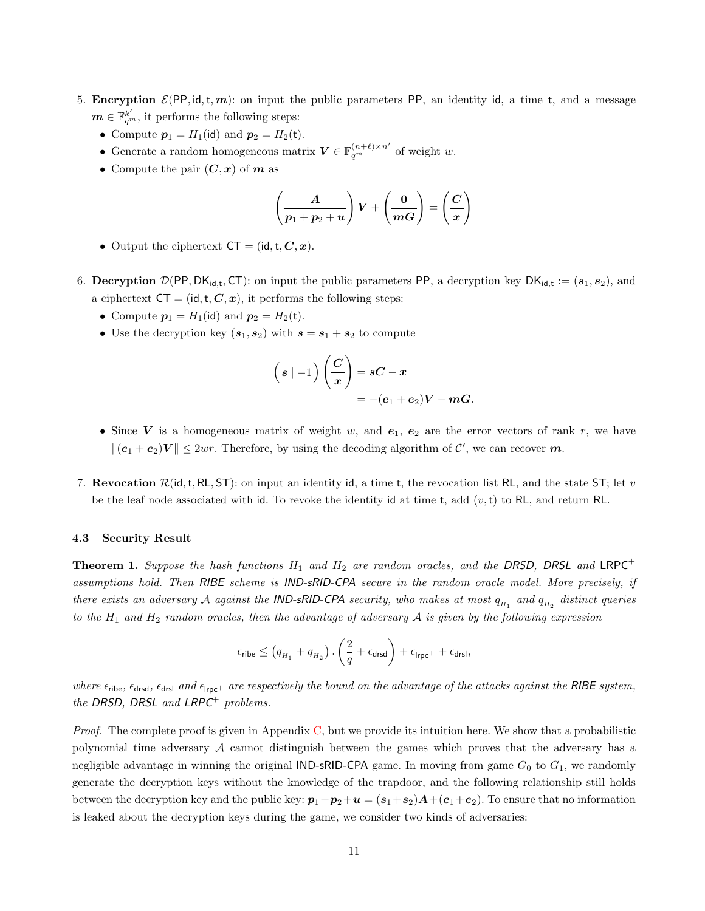- 5. Encryption  $\mathcal{E}(PP, id, t, m)$ : on input the public parameters PP, an identity id, a time t, and a message  $\boldsymbol{m} \in \mathbb{F}_{q^m}^{k'}$ , it performs the following steps:
	- Compute  $p_1 = H_1(id)$  and  $p_2 = H_2(t)$ .
	- Generate a random homogeneous matrix  $V \in \mathbb{F}_{q^m}^{(n+\ell) \times n'}$  of weight w.
	- Compute the pair  $(C, x)$  of  $m$  as

$$
\left(\frac{A}{p_1+p_2+u}\right)V+\left(\frac{0}{mG}\right)=\left(\frac{C}{x}\right)
$$

- Output the ciphertext  $CT = (id, t, C, x)$ .
- 6. Decryption  $\mathcal{D}(\text{PP}, \text{DK}_{\text{id},t}, \text{CT})$ : on input the public parameters PP, a decryption key  $\text{DK}_{\text{id},t} := (s_1, s_2)$ , and a ciphertext  $CT = (id, t, C, x)$ , it performs the following steps:
	- Compute  $p_1 = H_1(\text{id})$  and  $p_2 = H_2(\text{t})$ .
	- Use the decryption key  $(s_1, s_2)$  with  $s = s_1 + s_2$  to compute

$$
\left(s \mid -1\right) \left(\frac{C}{x}\right) = sC - x
$$
  
= -(e<sub>1</sub> + e<sub>2</sub>) $V - mG$ .

- Since V is a homogeneous matrix of weight w, and  $e_1, e_2$  are the error vectors of rank r, we have  $\| (e_1 + e_2) V \| \leq 2wr$ . Therefore, by using the decoding algorithm of C', we can recover m.
- 7. Revocation  $\mathcal{R}(\text{id}, t, R_L, ST)$ : on input an identity id, a time t, the revocation list RL, and the state ST; let v be the leaf node associated with id. To revoke the identity id at time t, add  $(v, t)$  to RL, and return RL.

#### <span id="page-10-0"></span>4.3 Security Result

<span id="page-10-1"></span>**Theorem 1.** Suppose the hash functions  $H_1$  and  $H_2$  are random oracles, and the DRSD, DRSL and LRPC<sup>+</sup> assumptions hold. Then RIBE scheme is IND-sRID-CPA secure in the random oracle model. More precisely, if there exists an adversary  $\cal A$  against the **IND-sRID-CPA** security, who makes at most  $q_{H_1}$  and  $q_{H_2}$  distinct queries to the  $H_1$  and  $H_2$  random oracles, then the advantage of adversary  $A$  is given by the following expression

$$
\epsilon_{\text{ribe}} \leq \left(q_{{\scriptscriptstyle H}_1} + q_{{\scriptscriptstyle H}_2}\right).\left(\frac{2}{q} + \epsilon_{\text{drsd}}\right) + \epsilon_{\text{lrpc}^+} + \epsilon_{\text{drsl}},
$$

where  $\epsilon_{\rm{ribe}}$ ,  $\epsilon_{\rm{drsd}}$ ,  $\epsilon_{\rm{drsl}}$  and  $\epsilon_{\rm{lrpc}}$  are respectively the bound on the advantage of the attacks against the RIBE system, the DRSD, DRSL and  $LRPC^+$  problems.

*Proof.* The complete proof is given in Appendix [C,](#page-15-0) but we provide its intuition here. We show that a probabilistic polynomial time adversary  $A$  cannot distinguish between the games which proves that the adversary has a negligible advantage in winning the original IND-sRID-CPA game. In moving from game  $G_0$  to  $G_1$ , we randomly generate the decryption keys without the knowledge of the trapdoor, and the following relationship still holds between the decryption key and the public key:  $p_1+p_2+u = (s_1+s_2)A+(e_1+e_2)$ . To ensure that no information is leaked about the decryption keys during the game, we consider two kinds of adversaries: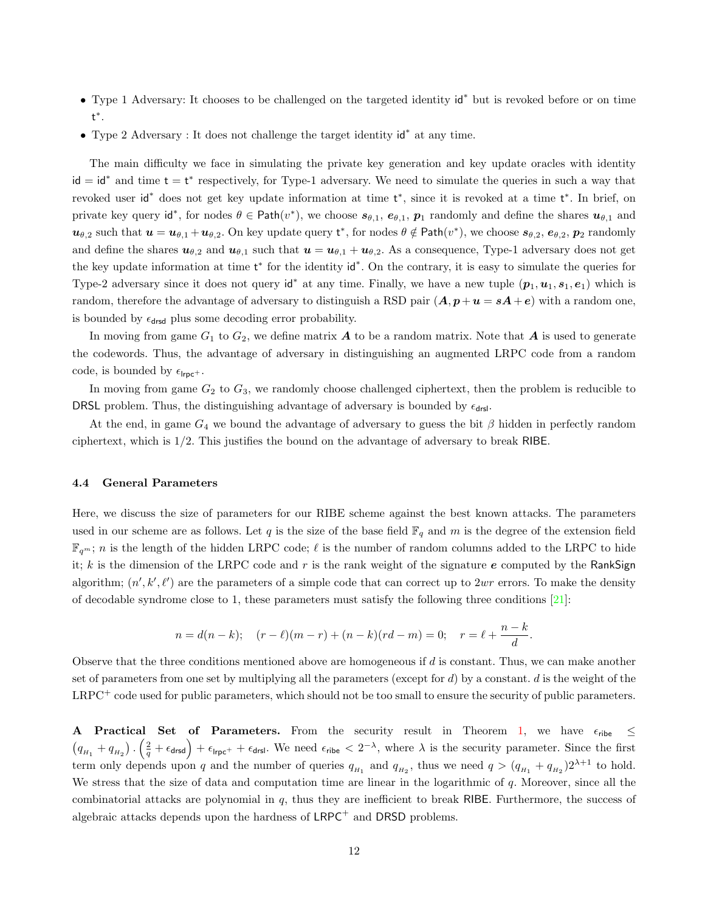- Type 1 Adversary: It chooses to be challenged on the targeted identity id<sup>∗</sup> but is revoked before or on time t ∗ .
- Type 2 Adversary : It does not challenge the target identity id<sup>∗</sup> at any time.

The main difficulty we face in simulating the private key generation and key update oracles with identity  $id = id^*$  and time  $t = t^*$  respectively, for Type-1 adversary. We need to simulate the queries in such a way that revoked user id<sup>\*</sup> does not get key update information at time t<sup>\*</sup>, since it is revoked at a time t<sup>\*</sup>. In brief, on private key query id<sup>\*</sup>, for nodes  $\theta \in \text{Path}(v^*)$ , we choose  $s_{\theta,1}, e_{\theta,1}, p_1$  randomly and define the shares  $u_{\theta,1}$  and  $u_{\theta,2}$  such that  $u = u_{\theta,1} + u_{\theta,2}$ . On key update query  $t^*$ , for nodes  $\theta \notin \mathsf{Path}(v^*)$ , we choose  $s_{\theta,2}, e_{\theta,2}, p_2$  randomly and define the shares  $u_{\theta,2}$  and  $u_{\theta,1}$  such that  $u = u_{\theta,1} + u_{\theta,2}$ . As a consequence, Type-1 adversary does not get the key update information at time t<sup>\*</sup> for the identity id<sup>\*</sup>. On the contrary, it is easy to simulate the queries for Type-2 adversary since it does not query  $\mathsf{id}^*$  at any time. Finally, we have a new tuple  $(p_1, u_1, s_1, e_1)$  which is random, therefore the advantage of adversary to distinguish a RSD pair  $(A, p + u = sA + e)$  with a random one, is bounded by  $\epsilon_{\text{drsd}}$  plus some decoding error probability.

In moving from game  $G_1$  to  $G_2$ , we define matrix  $\boldsymbol{A}$  to be a random matrix. Note that  $\boldsymbol{A}$  is used to generate the codewords. Thus, the advantage of adversary in distinguishing an augmented LRPC code from a random code, is bounded by  $\epsilon_{\text{Irpc}^+}$ .

In moving from game  $G_2$  to  $G_3$ , we randomly choose challenged ciphertext, then the problem is reducible to DRSL problem. Thus, the distinguishing advantage of adversary is bounded by  $\epsilon_{\text{drsl}}$ .

At the end, in game  $G_4$  we bound the advantage of adversary to guess the bit  $\beta$  hidden in perfectly random ciphertext, which is 1/2. This justifies the bound on the advantage of adversary to break RIBE.

### <span id="page-11-0"></span>4.4 General Parameters

Here, we discuss the size of parameters for our RIBE scheme against the best known attacks. The parameters used in our scheme are as follows. Let q is the size of the base field  $\mathbb{F}_q$  and m is the degree of the extension field  $\mathbb{F}_{q^m}$ ; n is the length of the hidden LRPC code;  $\ell$  is the number of random columns added to the LRPC to hide it; k is the dimension of the LRPC code and r is the rank weight of the signature e computed by the RankSign algorithm;  $(n', k', \ell')$  are the parameters of a simple code that can correct up to  $2wr$  errors. To make the density of decodable syndrome close to 1, these parameters must satisfy the following three conditions [\[21\]](#page-13-13):

$$
n = d(n-k);
$$
  $(r - \ell)(m - r) + (n - k)(rd - m) = 0;$   $r = \ell + \frac{n-k}{d}.$ 

Observe that the three conditions mentioned above are homogeneous if  $d$  is constant. Thus, we can make another set of parameters from one set by multiplying all the parameters (except for  $d$ ) by a constant.  $d$  is the weight of the LRPC<sup>+</sup> code used for public parameters, which should not be too small to ensure the security of public parameters.

A Practical Set of Parameters. From the security result in Theorem [1,](#page-10-1) we have  $\epsilon_{\text{rise}} \le$  $(q_{H_1} + q_{H_2}) \cdot (\frac{2}{q} + \epsilon_{\text{drsd}}) + \epsilon_{\text{lrpc}^+} + \epsilon_{\text{drsl}}$ . We need  $\epsilon_{\text{ribe}} < 2^{-\lambda}$ , where  $\lambda$  is the security parameter. Since the first term only depends upon q and the number of queries  $q_{H_1}$  and  $q_{H_2}$ , thus we need  $q > (q_{H_1} + q_{H_2})2^{\lambda+1}$  to hold. We stress that the size of data and computation time are linear in the logarithmic of  $q$ . Moreover, since all the combinatorial attacks are polynomial in  $q$ , thus they are inefficient to break RIBE. Furthermore, the success of algebraic attacks depends upon the hardness of  $LRPC^+$  and DRSD problems.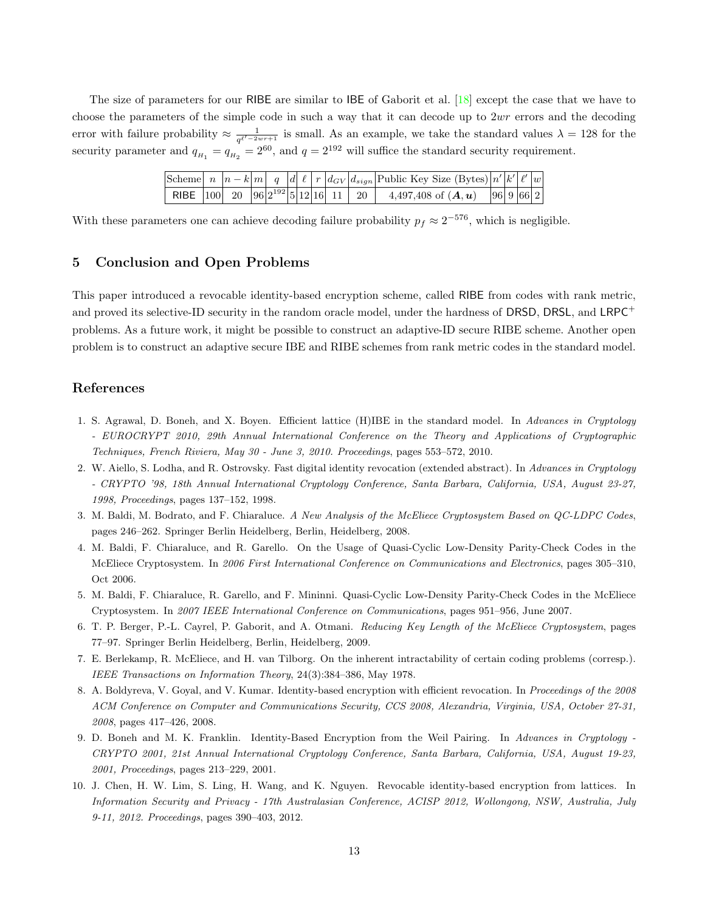The size of parameters for our RIBE are similar to IBE of Gaborit et al. [\[18\]](#page-13-12) except the case that we have to choose the parameters of the simple code in such a way that it can decode up to  $2wr$  errors and the decoding error with failure probability  $\approx \frac{1}{\sqrt{1-2i}}$  $\frac{1}{q^{\ell'-2wr+1}}$  is small. As an example, we take the standard values  $\lambda = 128$  for the security parameter and  $q_{H_1} = q_{H_2} = 2^{60}$ , and  $q = 2^{192}$  will suffice the standard security requirement.

|                                              |  |  |  |  | Scheme $\left  n \right  n - k \left  m \right  q \left  d \right  \ell \left  r \right  d_{GV}   d_{sign}  $ Public Key Size (Bytes) $\left  n' \right  k' \left  \ell' \right  w$ |  |  |
|----------------------------------------------|--|--|--|--|-------------------------------------------------------------------------------------------------------------------------------------------------------------------------------------|--|--|
| RIBE $ 100 $ 20 $ 96 2^{192} 5 12 16 11 $ 20 |  |  |  |  | 4,497,408 of $(A, u)$   96   9   66   2                                                                                                                                             |  |  |

With these parameters one can achieve decoding failure probability  $p_f \approx 2^{-576}$ , which is negligible.

# <span id="page-12-9"></span>5 Conclusion and Open Problems

This paper introduced a revocable identity-based encryption scheme, called RIBE from codes with rank metric, and proved its selective-ID security in the random oracle model, under the hardness of DRSD, DRSL, and LRPC<sup>+</sup> problems. As a future work, it might be possible to construct an adaptive-ID secure RIBE scheme. Another open problem is to construct an adaptive secure IBE and RIBE schemes from rank metric codes in the standard model.

### References

- <span id="page-12-5"></span>1. S. Agrawal, D. Boneh, and X. Boyen. Efficient lattice (H)IBE in the standard model. In Advances in Cryptology - EUROCRYPT 2010, 29th Annual International Conference on the Theory and Applications of Cryptographic Techniques, French Riviera, May 30 - June 3, 2010. Proceedings, pages 553–572, 2010.
- <span id="page-12-8"></span>2. W. Aiello, S. Lodha, and R. Ostrovsky. Fast digital identity revocation (extended abstract). In Advances in Cryptology - CRYPTO '98, 18th Annual International Cryptology Conference, Santa Barbara, California, USA, August 23-27, 1998, Proceedings, pages 137–152, 1998.
- <span id="page-12-2"></span>3. M. Baldi, M. Bodrato, and F. Chiaraluce. A New Analysis of the McEliece Cryptosystem Based on QC-LDPC Codes, pages 246–262. Springer Berlin Heidelberg, Berlin, Heidelberg, 2008.
- 4. M. Baldi, F. Chiaraluce, and R. Garello. On the Usage of Quasi-Cyclic Low-Density Parity-Check Codes in the McEliece Cryptosystem. In 2006 First International Conference on Communications and Electronics, pages 305–310, Oct 2006.
- <span id="page-12-3"></span>5. M. Baldi, F. Chiaraluce, R. Garello, and F. Mininni. Quasi-Cyclic Low-Density Parity-Check Codes in the McEliece Cryptosystem. In 2007 IEEE International Conference on Communications, pages 951–956, June 2007.
- <span id="page-12-1"></span>6. T. P. Berger, P.-L. Cayrel, P. Gaborit, and A. Otmani. Reducing Key Length of the McEliece Cryptosystem, pages 77–97. Springer Berlin Heidelberg, Berlin, Heidelberg, 2009.
- <span id="page-12-0"></span>7. E. Berlekamp, R. McEliece, and H. van Tilborg. On the inherent intractability of certain coding problems (corresp.). IEEE Transactions on Information Theory, 24(3):384–386, May 1978.
- <span id="page-12-6"></span>8. A. Boldyreva, V. Goyal, and V. Kumar. Identity-based encryption with efficient revocation. In Proceedings of the 2008 ACM Conference on Computer and Communications Security, CCS 2008, Alexandria, Virginia, USA, October 27-31, 2008, pages 417–426, 2008.
- <span id="page-12-4"></span>9. D. Boneh and M. K. Franklin. Identity-Based Encryption from the Weil Pairing. In Advances in Cryptology -CRYPTO 2001, 21st Annual International Cryptology Conference, Santa Barbara, California, USA, August 19-23, 2001, Proceedings, pages 213–229, 2001.
- <span id="page-12-7"></span>10. J. Chen, H. W. Lim, S. Ling, H. Wang, and K. Nguyen. Revocable identity-based encryption from lattices. In Information Security and Privacy - 17th Australasian Conference, ACISP 2012, Wollongong, NSW, Australia, July 9-11, 2012. Proceedings, pages 390–403, 2012.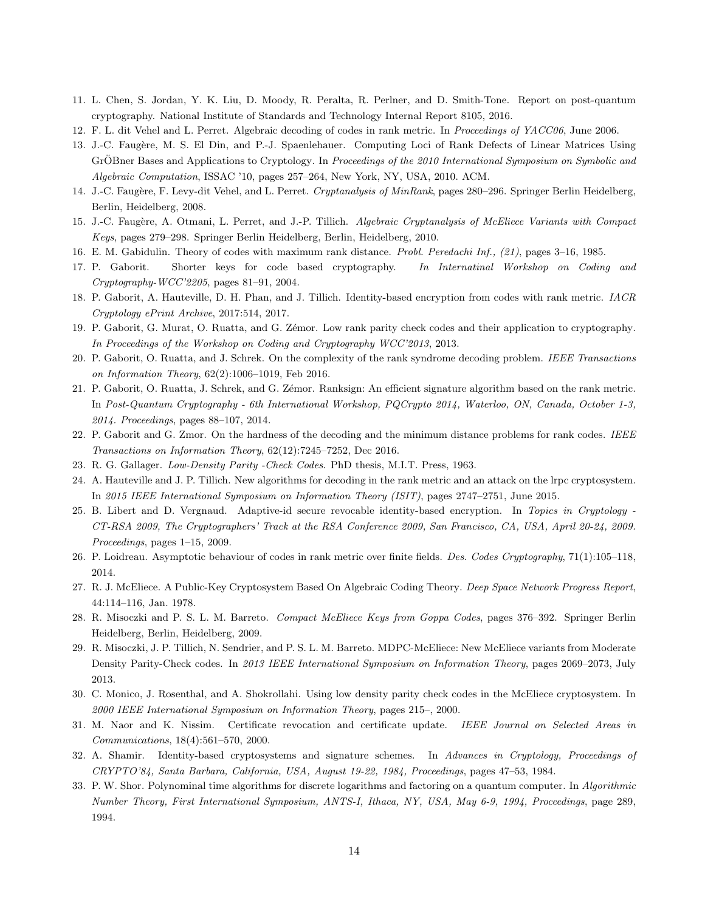- <span id="page-13-1"></span>11. L. Chen, S. Jordan, Y. K. Liu, D. Moody, R. Peralta, R. Perlner, and D. Smith-Tone. Report on post-quantum cryptography. National Institute of Standards and Technology Internal Report 8105, 2016.
- <span id="page-13-20"></span>12. F. L. dit Vehel and L. Perret. Algebraic decoding of codes in rank metric. In Proceedings of YACC06, June 2006.
- 13. J.-C. Faugère, M. S. El Din, and P.-J. Spaenlehauer. Computing Loci of Rank Defects of Linear Matrices Using GrÖBner Bases and Applications to Cryptology. In Proceedings of the 2010 International Symposium on Symbolic and Algebraic Computation, ISSAC '10, pages 257–264, New York, NY, USA, 2010. ACM.
- <span id="page-13-21"></span>14. J.-C. Faugère, F. Levy-dit Vehel, and L. Perret. Cryptanalysis of MinRank, pages 280–296. Springer Berlin Heidelberg, Berlin, Heidelberg, 2008.
- <span id="page-13-5"></span>15. J.-C. Faugère, A. Otmani, L. Perret, and J.-P. Tillich. Algebraic Cryptanalysis of McEliece Variants with Compact Keys, pages 279–298. Springer Berlin Heidelberg, Berlin, Heidelberg, 2010.
- <span id="page-13-9"></span>16. E. M. Gabidulin. Theory of codes with maximum rank distance. Probl. Peredachi Inf., (21), pages 3–16, 1985.
- <span id="page-13-3"></span>17. P. Gaborit. Shorter keys for code based cryptography. In Internatinal Workshop on Coding and Cryptography-WCC'2205, pages 81–91, 2004.
- <span id="page-13-12"></span>18. P. Gaborit, A. Hauteville, D. H. Phan, and J. Tillich. Identity-based encryption from codes with rank metric. IACR Cryptology ePrint Archive, 2017:514, 2017.
- <span id="page-13-10"></span>19. P. Gaborit, G. Murat, O. Ruatta, and G. Zémor. Low rank parity check codes and their application to cryptography. In Proceedings of the Workshop on Coding and Cryptography WCC'2013, 2013.
- <span id="page-13-19"></span>20. P. Gaborit, O. Ruatta, and J. Schrek. On the complexity of the rank syndrome decoding problem. IEEE Transactions on Information Theory, 62(2):1006–1019, Feb 2016.
- <span id="page-13-13"></span>21. P. Gaborit, O. Ruatta, J. Schrek, and G. Zémor. Ranksign: An efficient signature algorithm based on the rank metric. In Post-Quantum Cryptography - 6th International Workshop, PQCrypto 2014, Waterloo, ON, Canada, October 1-3, 2014. Proceedings, pages 88–107, 2014.
- <span id="page-13-17"></span>22. P. Gaborit and G. Zmor. On the hardness of the decoding and the minimum distance problems for rank codes. IEEE Transactions on Information Theory, 62(12):7245–7252, Dec 2016.
- <span id="page-13-6"></span>23. R. G. Gallager. Low-Density Parity -Check Codes. PhD thesis, M.I.T. Press, 1963.
- <span id="page-13-18"></span>24. A. Hauteville and J. P. Tillich. New algorithms for decoding in the rank metric and an attack on the lrpc cryptosystem. In 2015 IEEE International Symposium on Information Theory (ISIT), pages 2747–2751, June 2015.
- <span id="page-13-14"></span>25. B. Libert and D. Vergnaud. Adaptive-id secure revocable identity-based encryption. In Topics in Cryptology - CT-RSA 2009, The Cryptographers' Track at the RSA Conference 2009, San Francisco, CA, USA, April 20-24, 2009. Proceedings, pages 1–15, 2009.
- <span id="page-13-16"></span>26. P. Loidreau. Asymptotic behaviour of codes in rank metric over finite fields. Des. Codes Cryptography, 71(1):105–118, 2014.
- <span id="page-13-2"></span>27. R. J. McEliece. A Public-Key Cryptosystem Based On Algebraic Coding Theory. Deep Space Network Progress Report, 44:114–116, Jan. 1978.
- <span id="page-13-4"></span>28. R. Misoczki and P. S. L. M. Barreto. Compact McEliece Keys from Goppa Codes, pages 376–392. Springer Berlin Heidelberg, Berlin, Heidelberg, 2009.
- <span id="page-13-8"></span>29. R. Misoczki, J. P. Tillich, N. Sendrier, and P. S. L. M. Barreto. MDPC-McEliece: New McEliece variants from Moderate Density Parity-Check codes. In 2013 IEEE International Symposium on Information Theory, pages 2069–2073, July 2013.
- <span id="page-13-7"></span>30. C. Monico, J. Rosenthal, and A. Shokrollahi. Using low density parity check codes in the McEliece cryptosystem. In 2000 IEEE International Symposium on Information Theory, pages 215–, 2000.
- <span id="page-13-15"></span>31. M. Naor and K. Nissim. Certificate revocation and certificate update. IEEE Journal on Selected Areas in Communications, 18(4):561–570, 2000.
- <span id="page-13-11"></span>32. A. Shamir. Identity-based cryptosystems and signature schemes. In Advances in Cryptology, Proceedings of CRYPTO'84, Santa Barbara, California, USA, August 19-22, 1984, Proceedings, pages 47–53, 1984.
- <span id="page-13-0"></span>33. P. W. Shor. Polynominal time algorithms for discrete logarithms and factoring on a quantum computer. In Algorithmic Number Theory, First International Symposium, ANTS-I, Ithaca, NY, USA, May 6-9, 1994, Proceedings, page 289, 1994.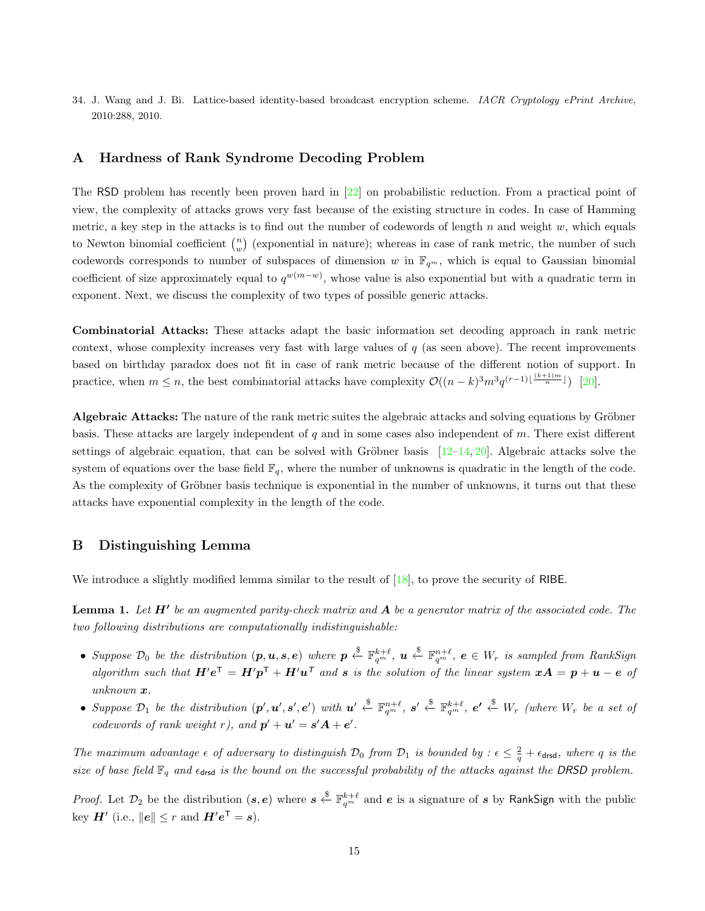<span id="page-14-0"></span>34. J. Wang and J. Bi. Lattice-based identity-based broadcast encryption scheme. IACR Cryptology ePrint Archive, 2010:288, 2010.

# <span id="page-14-1"></span>A Hardness of Rank Syndrome Decoding Problem

The RSD problem has recently been proven hard in [\[22\]](#page-13-17) on probabilistic reduction. From a practical point of view, the complexity of attacks grows very fast because of the existing structure in codes. In case of Hamming metric, a key step in the attacks is to find out the number of codewords of length  $n$  and weight  $w$ , which equals to Newton binomial coefficient  $\binom{n}{w}$  (exponential in nature); whereas in case of rank metric, the number of such codewords corresponds to number of subspaces of dimension w in  $\mathbb{F}_{q^m}$ , which is equal to Gaussian binomial coefficient of size approximately equal to  $q^{w(m-w)}$ , whose value is also exponential but with a quadratic term in exponent. Next, we discuss the complexity of two types of possible generic attacks.

Combinatorial Attacks: These attacks adapt the basic information set decoding approach in rank metric context, whose complexity increases very fast with large values of  $q$  (as seen above). The recent improvements based on birthday paradox does not fit in case of rank metric because of the different notion of support. In practice, when  $m \leq n$ , the best combinatorial attacks have complexity  $\mathcal{O}((n-k)^3 m^3 q^{(r-1)\lfloor \frac{(k+1)m}{n} \rfloor})$  [\[20\]](#page-13-19).

Algebraic Attacks: The nature of the rank metric suites the algebraic attacks and solving equations by Gröbner basis. These attacks are largely independent of q and in some cases also independent of  $m$ . There exist different settings of algebraic equation, that can be solved with Gröbner basis  $[12–14, 20]$  $[12–14, 20]$  $[12–14, 20]$  $[12–14, 20]$ . Algebraic attacks solve the system of equations over the base field  $\mathbb{F}_q$ , where the number of unknowns is quadratic in the length of the code. As the complexity of Gröbner basis technique is exponential in the number of unknowns, it turns out that these attacks have exponential complexity in the length of the code.

### <span id="page-14-2"></span>B Distinguishing Lemma

<span id="page-14-3"></span>We introduce a slightly modified lemma similar to the result of [\[18\]](#page-13-12), to prove the security of RIBE.

**Lemma 1.** Let  $H'$  be an augmented parity-check matrix and  $A$  be a generator matrix of the associated code. The two following distributions are computationally indistinguishable:

- Suppose  $\mathcal{D}_0$  be the distribution  $(p, u, s, e)$  where  $p \stackrel{\$}{\leftarrow} \mathbb{F}_{q^m}^{k+\ell}$ ,  $u \stackrel{\$}{\leftarrow} \mathbb{F}_{q^m}^{n+\ell}$ ,  $e \in W_r$  is sampled from RankSign algorithm such that  $H'e^{\mathsf{T}} = H'p^{\mathsf{T}} + H'u^{\mathsf{T}}$  and s is the solution of the linear system  $xA = p + u - e$  of unknown x.
- Suppose  $\mathcal{D}_1$  be the distribution  $(p', u', s', e')$  with  $u' \stackrel{\$}{\leftarrow} \mathbb{F}_{q^m}^{n+\ell}$ ,  $s' \stackrel{\$}{\leftarrow} \mathbb{F}_{q^m}^{k+\ell}$ ,  $e' \stackrel{\$}{\leftarrow} W_r$  (where  $W_r$  be a set of codewords of rank weight r), and  $p' + u' = s'A + e'$ .

The maximum advantage  $\epsilon$  of adversary to distinguish  $\mathcal{D}_0$  from  $\mathcal{D}_1$  is bounded by :  $\epsilon \leq \frac{2}{q} + \epsilon_{\text{drag}}$ , where q is the size of base field  $\mathbb{F}_q$  and  $\epsilon_{\text{drsd}}$  is the bound on the successful probability of the attacks against the DRSD problem.

*Proof.* Let  $\mathcal{D}_2$  be the distribution  $(s, e)$  where  $s \stackrel{\$}{\leftarrow} \mathbb{F}_{q^m}^{k+\ell}$  and  $e$  is a signature of s by RankSign with the public key  $H'$  (i.e.,  $||e|| \leq r$  and  $H'e^{\mathsf{T}} = s$ ).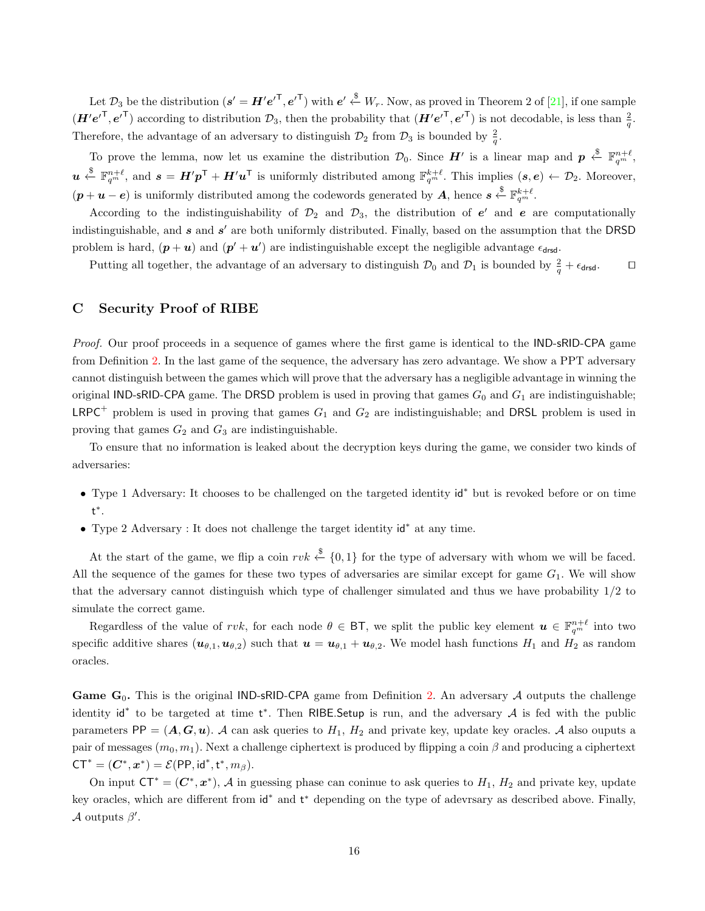Let  $\mathcal{D}_3$  be the distribution  $(s' = H'e'^{\mathsf{T}}, e'^{\mathsf{T}})$  with  $e' \stackrel{\$}{\leftarrow} W_r$ . Now, as proved in Theorem 2 of [\[21\]](#page-13-13), if one sample  $(\boldsymbol{H}'e^{\prime \top}, e^{\prime \top})$  according to distribution  $\mathcal{D}_3$ , then the probability that  $(\boldsymbol{H}'e^{\prime \top}, e^{\prime \top})$  is not decodable, is less than  $\frac{2}{q}$ . Therefore, the advantage of an adversary to distinguish  $\mathcal{D}_2$  from  $\mathcal{D}_3$  is bounded by  $\frac{2}{q}$ .

To prove the lemma, now let us examine the distribution  $\mathcal{D}_0$ . Since  $H'$  is a linear map and  $p \stackrel{\$}{\leftarrow} \mathbb{F}_{q^m}^{n+\ell}$ .  $u \stackrel{\$}{\leftarrow} \mathbb{F}_{q^m}^{n+\ell}$ , and  $s = H'p^{\mathsf{T}} + H'u^{\mathsf{T}}$  is uniformly distributed among  $\mathbb{F}_{q^m}^{k+\ell}$ . This implies  $(s, e) \leftarrow \mathcal{D}_2$ . Moreover,  $(p + u - e)$  is uniformly distributed among the codewords generated by A, hence  $s \stackrel{\$}{\leftarrow} \mathbb{F}_{q^m}^{k+\ell}$ .

According to the indistinguishability of  $\mathcal{D}_2$  and  $\mathcal{D}_3$ , the distribution of  $e'$  and  $e$  are computationally indistinguishable, and  $s$  and  $s'$  are both uniformly distributed. Finally, based on the assumption that the DRSD problem is hard,  $(p + u)$  and  $(p' + u')$  are indistinguishable except the negligible advantage  $\epsilon_{\text{drsd}}$ .

Putting all together, the advantage of an adversary to distinguish  $\mathcal{D}_0$  and  $\mathcal{D}_1$  is bounded by  $\frac{2}{q} + \epsilon_{\text{drag}}$ .

# <span id="page-15-0"></span>C Security Proof of RIBE

Proof. Our proof proceeds in a sequence of games where the first game is identical to the IND-sRID-CPA game from Definition [2.](#page-4-1) In the last game of the sequence, the adversary has zero advantage. We show a PPT adversary cannot distinguish between the games which will prove that the adversary has a negligible advantage in winning the original IND-sRID-CPA game. The DRSD problem is used in proving that games  $G_0$  and  $G_1$  are indistinguishable; LRPC<sup>+</sup> problem is used in proving that games  $G_1$  and  $G_2$  are indistinguishable; and DRSL problem is used in proving that games  $G_2$  and  $G_3$  are indistinguishable.

To ensure that no information is leaked about the decryption keys during the game, we consider two kinds of adversaries:

- Type 1 Adversary: It chooses to be challenged on the targeted identity id<sup>∗</sup> but is revoked before or on time t ∗ .
- Type 2 Adversary : It does not challenge the target identity id<sup>∗</sup> at any time.

At the start of the game, we flip a coin rvk  $\stackrel{\$}{\leftarrow} \{0,1\}$  for the type of adversary with whom we will be faced. All the sequence of the games for these two types of adversaries are similar except for game  $G_1$ . We will show that the adversary cannot distinguish which type of challenger simulated and thus we have probability 1/2 to simulate the correct game.

Regardless of the value of rvk, for each node  $\theta \in \mathsf{BT}$ , we split the public key element  $\mathbf{u} \in \mathbb{F}_{q^m}^{n+\ell}$  into two specific additive shares  $(\mathbf{u}_{\theta,1},\mathbf{u}_{\theta,2})$  such that  $\mathbf{u} = \mathbf{u}_{\theta,1} + \mathbf{u}_{\theta,2}$ . We model hash functions  $H_1$  and  $H_2$  as random oracles.

Game  $G_0$ . This is the original IND-sRID-CPA game from Definition [2.](#page-4-1) An adversary A outputs the challenge identity id<sup>\*</sup> to be targeted at time t<sup>\*</sup>. Then RIBE.Setup is run, and the adversary  $\mathcal A$  is fed with the public parameters PP =  $(A, G, u)$ . A can ask queries to  $H_1$ ,  $H_2$  and private key, update key oracles. A also ouputs a pair of messages  $(m_0, m_1)$ . Next a challenge ciphertext is produced by flipping a coin  $\beta$  and producing a ciphertext  $CT^* = (C^*, x^*) = \mathcal{E}(PP, id^*, t^*, m_\beta).$ 

On input  $CT^* = (C^*, x^*)$ , A in guessing phase can coninue to ask queries to  $H_1$ ,  $H_2$  and private key, update key oracles, which are different from  $id^*$  and  $t^*$  depending on the type of adevrsary as described above. Finally, A outputs  $\beta'$ .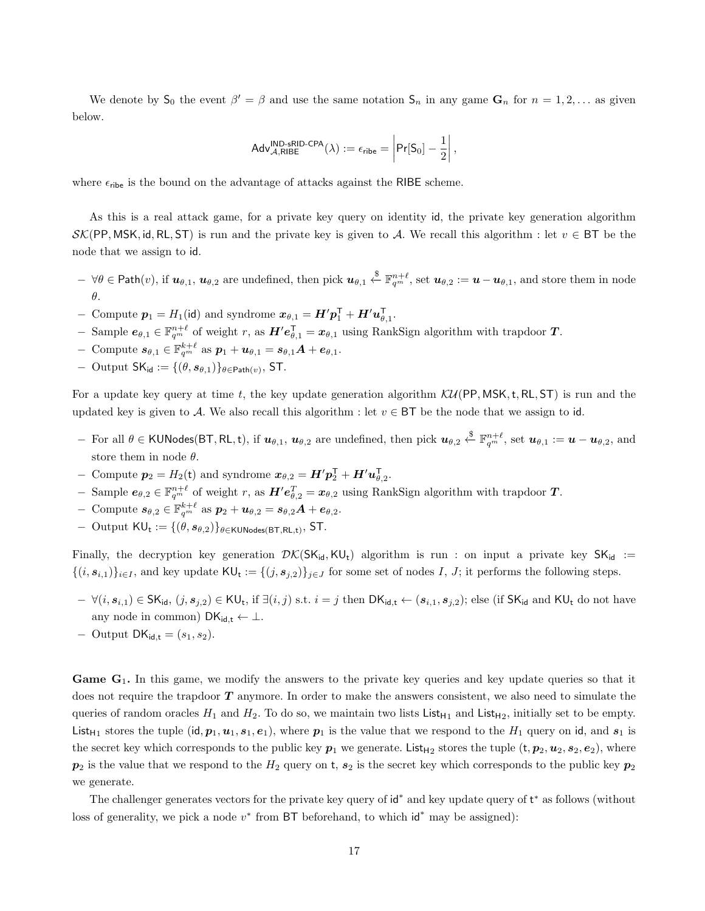We denote by  $S_0$  the event  $\beta' = \beta$  and use the same notation  $S_n$  in any game  $G_n$  for  $n = 1, 2, \ldots$  as given below.

$$
\mathsf{Adv}_{\mathcal{A},\mathsf{RIBE}}^{\mathsf{IND}\text{-}\mathsf{sRID}\text{-}\mathsf{CPA}}(\lambda) := \epsilon_{\mathsf{ribe}} = \left|\mathsf{Pr}[\mathsf{S}_0] - \frac{1}{2}\right|,
$$

where  $\epsilon_{\text{ribe}}$  is the bound on the advantage of attacks against the RIBE scheme.

As this is a real attack game, for a private key query on identity id, the private key generation algorithm  $\mathcal{SK}(PP, MSK, id, RL, ST)$  is run and the private key is given to A. We recall this algorithm : let  $v \in BT$  be the node that we assign to id.

- $\forall \theta \in \mathsf{Path}(v)$ , if  $u_{\theta,1}, u_{\theta,2}$  are undefined, then pick  $u_{\theta,1} \overset{\$}{\leftarrow} \mathbb{F}_{q^m}^{n+\ell}$ , set  $u_{\theta,2} := u u_{\theta,1}$ , and store them in node θ.
- − Compute  $p_1 = H_1(\mathsf{id})$  and syndrome  $x_{\theta,1} = H'p_1^{\mathsf{T}} + H'u_{\theta,1}^{\mathsf{T}}$ .
- $-$  Sample  $e_{\theta,1}$  ∈  $\mathbb{F}_{q^m}^{n+\ell}$  of weight r, as  $H'e_{\theta,1}^{\mathsf{T}} = x_{\theta,1}$  using RankSign algorithm with trapdoor **T**.
- $\text{ Compute } \boldsymbol{s}_{\theta,1} \in \mathbb{F}_{q^m}^{k+\ell} \text{ as } \boldsymbol{p}_1 + \boldsymbol{u}_{\theta,1} = \boldsymbol{s}_{\theta,1} \boldsymbol{A} + \boldsymbol{e}_{\theta,1}.$
- $-$  Output SK<sub>id</sub> := {(θ,  $s_{\theta,1}$ )}<sub>θ∈Path(v)</sub>, ST.

For a update key query at time t, the key update generation algorithm  $\mathcal{KU}(PP, MSK, t, RL, ST)$  is run and the updated key is given to A. We also recall this algorithm : let  $v \in BT$  be the node that we assign to id.

- $-$  For all θ ∈ KUNodes(BT, RL, t), if  $u_{\theta,1}$ ,  $u_{\theta,2}$  are undefined, then pick  $u_{\theta,2} \xleftarrow{\$} \mathbb{F}_{q^m}^{n+\ell}$ , set  $u_{\theta,1} := u u_{\theta,2}$ , and store them in node  $\theta$ .
- Compute  $p_2 = H_2(t)$  and syndrome  $x_{\theta,2} = H' p_2^{\mathsf{T}} + H' u_{\theta,2}^{\mathsf{T}}$ .
- $-$  Sample  $e_{\theta,2}$  ∈  $\mathbb{F}_{q^m}^{n+\ell}$  of weight r, as  $H'e_{\theta,2}^T = x_{\theta,2}$  using RankSign algorithm with trapdoor **T**.
- $\text{ Compute } \boldsymbol{s}_{\theta,2} \in \mathbb{F}_{q^m}^{k+\ell} \text{ as } \boldsymbol{p}_2 + \boldsymbol{u}_{\theta,2} = \boldsymbol{s}_{\theta,2} \boldsymbol{A} + \boldsymbol{e}_{\theta,2}.$
- $-$  Output  $\mathsf{KU}_t := \{(\theta, s_{\theta,2})\}_{\theta \in \mathsf{KUNodes}(\mathsf{BT},\mathsf{RL},t)}, \mathsf{ST}.$

Finally, the decryption key generation  $\mathcal{DK}(SK_{id}, KU_t)$  algorithm is run : on input a private key  $SK_{id}$  :=  $\{(i, s_{i,1})\}_{i \in I}$ , and key update  $\mathsf{KU}_t := \{(j, s_{j,2})\}_{j \in J}$  for some set of nodes I, J; it performs the following steps.

- $\forall (i, s_{i,1}) \in \mathsf{SK}_{\mathsf{id}}, (j, s_{j,2}) \in \mathsf{KU}_{\mathsf{t}}, \text{ if } \exists (i,j) \text{ s.t. } i = j \text{ then } \mathsf{DK}_{\mathsf{id},\mathsf{t}} \leftarrow (s_{i,1}, s_{j,2}); \text{ else (if } \mathsf{SK}_{\mathsf{id}} \text{ and } \mathsf{KU}_{\mathsf{t}} \text{ do not have } \mathsf{U}_{\mathsf{t}} \leftarrow \mathsf{K}_{\mathsf{id}} \leftarrow \mathsf{K}_{\mathsf{id}} \leftarrow \mathsf{K}_{\mathsf{id}} \leftarrow \mathsf{K}_{\mathsf{id}} \$ any node in common)  $DK_{\mathsf{id}, \mathsf{t}} \leftarrow \perp$ .
- $-$  Output DK<sub>id,t</sub> =  $(s_1, s_2)$ .

**Game G**<sub>1</sub>. In this game, we modify the answers to the private key queries and key update queries so that it does not require the trapdoor  $T$  anymore. In order to make the answers consistent, we also need to simulate the queries of random oracles  $H_1$  and  $H_2$ . To do so, we maintain two lists List<sub>H1</sub> and List<sub>H2</sub>, initially set to be empty. List<sub>H1</sub> stores the tuple (id,  $p_1, u_1, s_1, e_1$ ), where  $p_1$  is the value that we respond to the  $H_1$  query on id, and  $s_1$  is the secret key which corresponds to the public key  $p_1$  we generate. List<sub>H2</sub> stores the tuple  $(t, p_2, u_2, s_2, e_2)$ , where  $p_2$  is the value that we respond to the  $H_2$  query on t,  $s_2$  is the secret key which corresponds to the public key  $p_2$ we generate.

The challenger generates vectors for the private key query of id<sup>\*</sup> and key update query of t<sup>\*</sup> as follows (without loss of generality, we pick a node  $v^*$  from BT beforehand, to which  $\mathsf{id}^*$  may be assigned):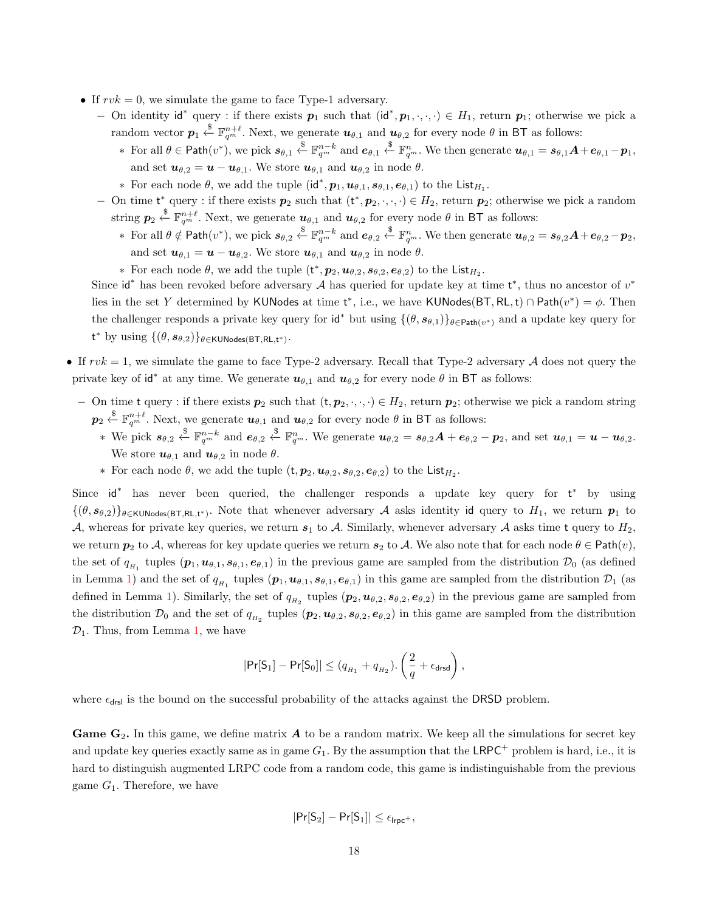- If  $rvk = 0$ , we simulate the game to face Type-1 adversary.
	- − On identity id<sup>\*</sup> query : if there exists  $p_1$  such that  $(id^*, p_1, \cdot, \cdot, \cdot) \in H_1$ , return  $p_1$ ; otherwise we pick a random vector  $p_1 \overset{\$}{\leftarrow} \mathbb{F}_{q^m}^{n+\ell}$ . Next, we generate  $u_{\theta,1}$  and  $u_{\theta,2}$  for every node  $\theta$  in BT as follows:
		- $\ast$  For all  $\theta \in \mathsf{Path}(v^*),$  we pick  $s_{\theta,1} \overset{\$}{\leftarrow} \mathbb{F}_{q^m}^{n-k}$  and  $e_{\theta,1} \overset{\$}{\leftarrow} \mathbb{F}_{q^m}^{n}$ . We then generate  $u_{\theta,1} = s_{\theta,1}A + e_{\theta,1} p_1$ , and set  $u_{\theta,2} = u - u_{\theta,1}$ . We store  $u_{\theta,1}$  and  $u_{\theta,2}$  in node  $\theta$ .
		- ∗ For each node  $\theta$ , we add the tuple  $(id^*, p_1, u_{\theta,1}, s_{\theta,1}, e_{\theta,1})$  to the List<sub>*H*1</sub>.
	- − On time  $t^*$  query : if there exists  $p_2$  such that  $(t^*, p_2, \dots) \in H_2$ , return  $p_2$ ; otherwise we pick a random string  $p_2 \stackrel{\$}{\leftarrow} \mathbb{F}_{q^m}^{n+\ell}$ . Next, we generate  $u_{\theta,1}$  and  $u_{\theta,2}$  for every node  $\theta$  in BT as follows:
		- $\ast$  For all  $\theta \notin \mathsf{Path}(v^*),$  we pick  $s_{\theta,2} \stackrel{\$}{\leftarrow} \mathbb{F}_{q^m}^{n-k}$  and  $e_{\theta,2} \stackrel{\$}{\leftarrow} \mathbb{F}_{q^m}^{n}$ . We then generate  $u_{\theta,2} = s_{\theta,2}A + e_{\theta,2} p_2$ , and set  $u_{\theta,1} = u - u_{\theta,2}$ . We store  $u_{\theta,1}$  and  $u_{\theta,2}$  in node  $\theta$ .
		- ∗ For each node  $\theta$ , we add the tuple  $(\mathsf{t}^*, \mathbf{p}_2, \mathbf{u}_{\theta,2}, \mathbf{s}_{\theta,2}, \mathbf{e}_{\theta,2})$  to the List<sub>*H*2</sub>.

Since  $id^*$  has been revoked before adversary A has queried for update key at time  $t^*$ , thus no ancestor of  $v^*$ lies in the set Y determined by KUNodes at time  $t^*$ , i.e., we have KUNodes(BT, RL, t) ∩ Path $(v^*) = \phi$ . Then the challenger responds a private key query for  $\mathsf{id}^*$  but using  $\{(\theta, s_{\theta,1})\}_{\theta \in \mathsf{Path}(v^*)}$  and a update key query for t\* by using  $\{(\theta, s_{\theta,2})\}_{\theta \in \mathsf{KUNodes}(\mathsf{BT},\mathsf{RL},\mathsf{t}^*)}$ .

- If  $rvk = 1$ , we simulate the game to face Type-2 adversary. Recall that Type-2 adversary A does not query the private key of id<sup>\*</sup> at any time. We generate  $u_{\theta,1}$  and  $u_{\theta,2}$  for every node  $\theta$  in BT as follows:
	- − On time t query : if there exists  $p_2$  such that  $(t, p_2, \dots) \in H_2$ , return  $p_2$ ; otherwise we pick a random string  $p_2 \stackrel{\$}{\leftarrow} \mathbb{F}_{q^m}^{n+\ell}$ . Next, we generate  $u_{\theta,1}$  and  $u_{\theta,2}$  for every node  $\theta$  in BT as follows:
		- ∗ We pick  $s_{\theta,2} \stackrel{\$}{\leftarrow} \mathbb{F}_{q^m}^{n-k}$  and  $e_{\theta,2} \stackrel{\$}{\leftarrow} \mathbb{F}_{q^m}^n$ . We generate  $u_{\theta,2} = s_{\theta,2}A + e_{\theta,2} p_2$ , and set  $u_{\theta,1} = u u_{\theta,2}$ . We store  $u_{\theta,1}$  and  $u_{\theta,2}$  in node  $\theta$ .
		- ∗ For each node  $\theta$ , we add the tuple  $(t, p_2, u_{\theta,2}, s_{\theta,2}, e_{\theta,2})$  to the List<sub>*H*2</sub>.

Since id<sup>\*</sup> has never been queried, the challenger responds a update key query for t<sup>\*</sup> by using  $\{(\theta, s_{\theta,2})\}_{\theta \in \text{KUNodes}(\text{BT},\text{RL},t^*)}$ . Note that whenever adversary A asks identity id query to  $H_1$ , we return  $p_1$  to A, whereas for private key queries, we return  $s_1$  to A. Similarly, whenever adversary A asks time t query to  $H_2$ , we return  $p_2$  to A, whereas for key update queries we return  $s_2$  to A. We also note that for each node  $\theta \in \text{Path}(v)$ , the set of  $q_{H_1}$  tuples  $(p_1, u_{\theta,1}, s_{\theta,1}, e_{\theta,1})$  in the previous game are sampled from the distribution  $\mathcal{D}_0$  (as defined in Lemma [1\)](#page-14-3) and the set of  $q_{H_1}$  tuples  $(p_1, u_{\theta,1}, s_{\theta,1}, e_{\theta,1})$  in this game are sampled from the distribution  $\mathcal{D}_1$  (as defined in Lemma [1\)](#page-14-3). Similarly, the set of  $q_{H_2}$  tuples  $(p_2, u_{\theta,2}, s_{\theta,2}, e_{\theta,2})$  in the previous game are sampled from the distribution  $\mathcal{D}_0$  and the set of  $q_{H_2}$  tuples  $(p_2, u_{\theta,2}, s_{\theta,2}, e_{\theta,2})$  in this game are sampled from the distribution  $\mathcal{D}_1$ . Thus, from Lemma [1,](#page-14-3) we have

$$
|\Pr[\mathsf{S}_1]-\Pr[\mathsf{S}_0]| \leq (q_{H_1}+q_{H_2}).\left(\frac{2}{q}+\epsilon_{\mathsf{drsd}}\right),
$$

where  $\epsilon_{\text{drsl}}$  is the bound on the successful probability of the attacks against the DRSD problem.

Game  $G_2$ . In this game, we define matrix  $A$  to be a random matrix. We keep all the simulations for secret key and update key queries exactly same as in game  $G_1$ . By the assumption that the LRPC<sup>+</sup> problem is hard, i.e., it is hard to distinguish augmented LRPC code from a random code, this game is indistinguishable from the previous game  $G_1$ . Therefore, we have

$$
|\mathsf{Pr}[S_2]-\mathsf{Pr}[S_1]|\leq \epsilon_{\mathsf{Irpc}^+},
$$